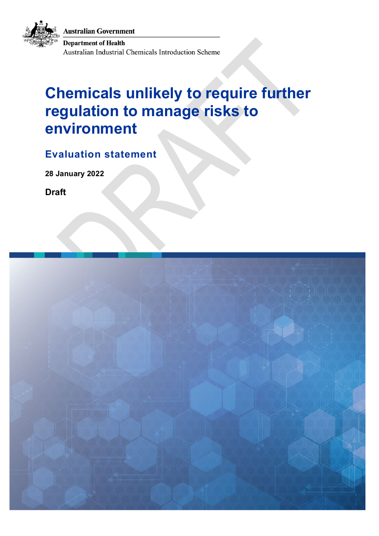**Australian Government** 



**Department of Health** Australian Industrial Chemicals Introduction Scheme

## **Chemicals unlikely to require further regulation to manage risks to environment**

**Evaluation statement**

**28 January 2022**

**Draft**

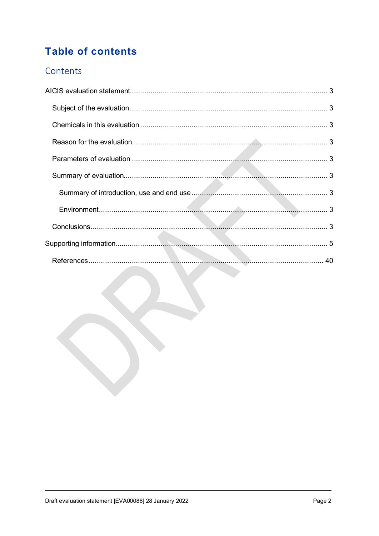## **Table of contents**

#### Contents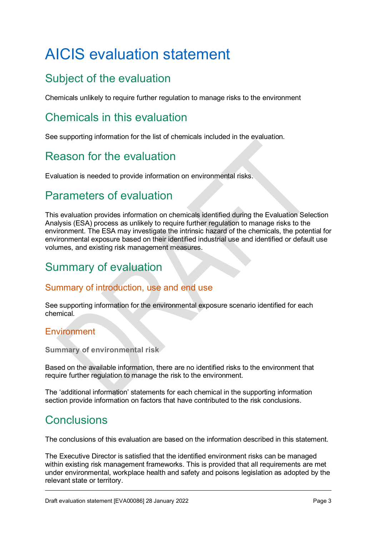# <span id="page-2-0"></span>AICIS evaluation statement

## <span id="page-2-1"></span>Subject of the evaluation

Chemicals unlikely to require further regulation to manage risks to the environment

#### <span id="page-2-2"></span>Chemicals in this evaluation

See supporting information for the list of chemicals included in the evaluation.

## <span id="page-2-3"></span>Reason for the evaluation

Evaluation is needed to provide information on environmental risks.

## <span id="page-2-4"></span>Parameters of evaluation

This evaluation provides information on chemicals identified during the Evaluation Selection Analysis (ESA) process as unlikely to require further regulation to manage risks to the environment. The ESA may investigate the intrinsic hazard of the chemicals, the potential for environmental exposure based on their identified industrial use and identified or default use volumes, and existing risk management measures.

#### <span id="page-2-5"></span>Summary of evaluation

#### <span id="page-2-6"></span>Summary of introduction, use and end use

See supporting information for the environmental exposure scenario identified for each chemical.

#### <span id="page-2-7"></span>Environment

**Summary of environmental risk** 

Based on the available information, there are no identified risks to the environment that require further regulation to manage the risk to the environment.

The 'additional information' statements for each chemical in the supporting information section provide information on factors that have contributed to the risk conclusions.

#### <span id="page-2-8"></span>**Conclusions**

The conclusions of this evaluation are based on the information described in this statement.

The Executive Director is satisfied that the identified environment risks can be managed within existing risk management frameworks. This is provided that all requirements are met under environmental, workplace health and safety and poisons legislation as adopted by the relevant state or territory.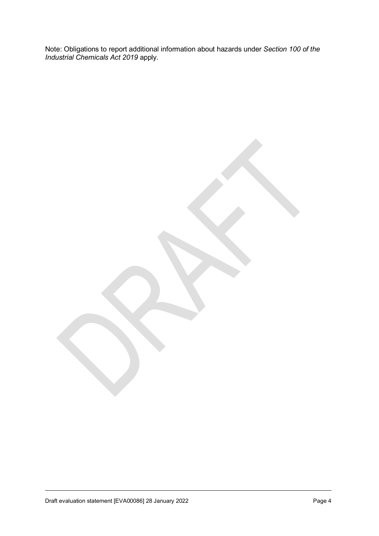Note: Obligations to report additional information about hazards under *Section 100 of the Industrial Chemicals Act 2019* apply.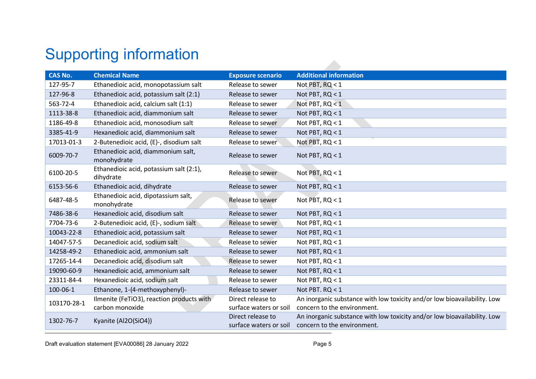# Supporting information

<span id="page-4-0"></span>

| <b>CAS No.</b> | <b>Chemical Name</b>                                         | <b>Exposure scenario</b>                    | <b>Additional information</b>                                                                           |
|----------------|--------------------------------------------------------------|---------------------------------------------|---------------------------------------------------------------------------------------------------------|
| 127-95-7       | Ethanedioic acid, monopotassium salt                         | Release to sewer                            | Not PBT, RQ < 1                                                                                         |
| 127-96-8       | Ethanedioic acid, potassium salt (2:1)                       | Release to sewer                            | Not PBT, RQ < 1                                                                                         |
| 563-72-4       | Ethanedioic acid, calcium salt (1:1)                         | Release to sewer                            | Not PBT, RQ < 1                                                                                         |
| 1113-38-8      | Ethanedioic acid, diammonium salt                            | Release to sewer                            | Not PBT, RQ < 1                                                                                         |
| 1186-49-8      | Ethanedioic acid, monosodium salt                            | Release to sewer                            | Not PBT, RQ < 1                                                                                         |
| 3385-41-9      | Hexanedioic acid, diammonium salt                            | Release to sewer                            | Not PBT, RQ < 1                                                                                         |
| 17013-01-3     | 2-Butenedioic acid, (E)-, disodium salt                      | Release to sewer                            | Not PBT, $RQ < 1$                                                                                       |
| 6009-70-7      | Ethanedioic acid, diammonium salt,<br>monohydrate            | Release to sewer                            | Not PBT, RQ < 1                                                                                         |
| 6100-20-5      | Ethanedioic acid, potassium salt (2:1),<br>dihydrate         | Release to sewer                            | Not PBT, RQ < 1                                                                                         |
| 6153-56-6      | Ethanedioic acid, dihydrate                                  | Release to sewer                            | Not PBT, RQ < 1                                                                                         |
| 6487-48-5      | Ethanedioic acid, dipotassium salt,<br>monohydrate           | Release to sewer                            | Not PBT, RQ < 1                                                                                         |
| 7486-38-6      | Hexanedioic acid, disodium salt                              | Release to sewer                            | Not PBT, RQ < 1                                                                                         |
| 7704-73-6      | 2-Butenedioic acid, (E)-, sodium salt                        | Release to sewer                            | Not PBT, RQ < 1                                                                                         |
| 10043-22-8     | Ethanedioic acid, potassium salt                             | Release to sewer                            | Not PBT, RQ < 1                                                                                         |
| 14047-57-5     | Decanedioic acid, sodium salt                                | Release to sewer                            | Not PBT, RQ < 1                                                                                         |
| 14258-49-2     | Ethanedioic acid, ammonium salt                              | Release to sewer                            | Not PBT, RQ < 1                                                                                         |
| 17265-14-4     | Decanedioic acid, disodium salt                              | Release to sewer                            | Not PBT, RQ < 1                                                                                         |
| 19090-60-9     | Hexanedioic acid, ammonium salt                              | Release to sewer                            | Not PBT, RQ < 1                                                                                         |
| 23311-84-4     | Hexanedioic acid, sodium salt                                | Release to sewer                            | Not PBT, RQ < 1                                                                                         |
| 100-06-1       | Ethanone, 1-(4-methoxyphenyl)-                               | Release to sewer                            | Not PBT. RQ < 1                                                                                         |
| 103170-28-1    | Ilmenite (FeTiO3), reaction products with<br>carbon monoxide | Direct release to<br>surface waters or soil | An inorganic substance with low toxicity and/or low bioavailability. Low<br>concern to the environment. |
| 1302-76-7      | Kyanite (Al2O(SiO4))                                         | Direct release to<br>surface waters or soil | An inorganic substance with low toxicity and/or low bioavailability. Low<br>concern to the environment. |

 $\mathcal{L}_{\mathcal{A}}$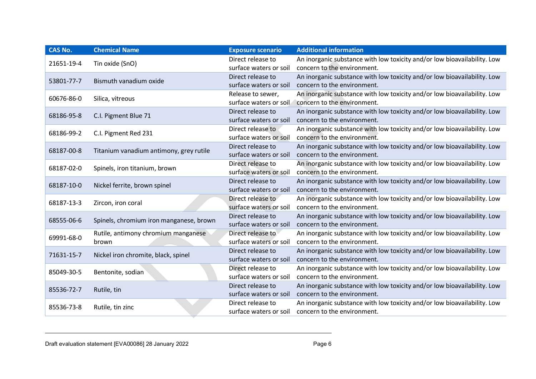| An inorganic substance with low toxicity and/or low bioavailability. Low<br>Direct release to<br>Tin oxide (SnO)<br>21651-19-4<br>concern to the environment.<br>surface waters or soil<br>An inorganic substance with low toxicity and/or low bioavailability. Low<br>Direct release to<br>Bismuth vanadium oxide<br>53801-77-7<br>concern to the environment.<br>surface waters or soil<br>An inorganic substance with low toxicity and/or low bioavailability. Low<br>Release to sewer,<br>60676-86-0<br>Silica, vitreous<br>surface waters or soil<br>concern to the environment.<br>An inorganic substance with low toxicity and/or low bioavailability. Low<br>Direct release to<br>C.I. Pigment Blue 71<br>68186-95-8<br>concern to the environment.<br>surface waters or soil<br>An inorganic substance with low toxicity and/or low bioavailability. Low<br>Direct release to<br>68186-99-2<br>C.I. Pigment Red 231<br>concern to the environment.<br>surface waters or soil<br>Direct release to<br>An inorganic substance with low toxicity and/or low bioavailability. Low<br>68187-00-8<br>Titanium vanadium antimony, grey rutile<br>concern to the environment.<br>surface waters or soil<br>Direct release to<br>An inorganic substance with low toxicity and/or low bioavailability. Low<br>68187-02-0<br>Spinels, iron titanium, brown<br>concern to the environment.<br>surface waters or soil<br>An inorganic substance with low toxicity and/or low bioavailability. Low<br>Direct release to<br>Nickel ferrite, brown spinel<br>68187-10-0<br>surface waters or soil<br>concern to the environment.<br>An inorganic substance with low toxicity and/or low bioavailability. Low<br>Direct release to<br>Zircon, iron coral<br>68187-13-3<br>concern to the environment.<br>surface waters or soil<br>Direct release to<br>An inorganic substance with low toxicity and/or low bioavailability. Low<br>Spinels, chromium iron manganese, brown<br>68555-06-6<br>concern to the environment.<br>surface waters or soil<br>An inorganic substance with low toxicity and/or low bioavailability. Low<br>Direct release to<br>Rutile, antimony chromium manganese<br>69991-68-0<br>concern to the environment.<br>surface waters or soil<br>brown<br>An inorganic substance with low toxicity and/or low bioavailability. Low<br>Direct release to<br>71631-15-7<br>Nickel iron chromite, black, spinel<br>concern to the environment.<br>surface waters or soil<br>An inorganic substance with low toxicity and/or low bioavailability. Low<br>Direct release to<br>85049-30-5<br>Bentonite, sodian<br>concern to the environment.<br>surface waters or soil<br>An inorganic substance with low toxicity and/or low bioavailability. Low<br>Direct release to<br>85536-72-7<br>Rutile, tin<br>concern to the environment.<br>surface waters or soil<br>Direct release to<br>An inorganic substance with low toxicity and/or low bioavailability. Low<br>85536-73-8<br>Rutile, tin zinc<br>surface waters or soil<br>concern to the environment. | <b>CAS No.</b> | <b>Chemical Name</b> | <b>Exposure scenario</b> | <b>Additional information</b> |
|-------------------------------------------------------------------------------------------------------------------------------------------------------------------------------------------------------------------------------------------------------------------------------------------------------------------------------------------------------------------------------------------------------------------------------------------------------------------------------------------------------------------------------------------------------------------------------------------------------------------------------------------------------------------------------------------------------------------------------------------------------------------------------------------------------------------------------------------------------------------------------------------------------------------------------------------------------------------------------------------------------------------------------------------------------------------------------------------------------------------------------------------------------------------------------------------------------------------------------------------------------------------------------------------------------------------------------------------------------------------------------------------------------------------------------------------------------------------------------------------------------------------------------------------------------------------------------------------------------------------------------------------------------------------------------------------------------------------------------------------------------------------------------------------------------------------------------------------------------------------------------------------------------------------------------------------------------------------------------------------------------------------------------------------------------------------------------------------------------------------------------------------------------------------------------------------------------------------------------------------------------------------------------------------------------------------------------------------------------------------------------------------------------------------------------------------------------------------------------------------------------------------------------------------------------------------------------------------------------------------------------------------------------------------------------------------------------------------------------------------------------------------------------------------------------------------------------------------------------------------------------------------------------------------------------------------------------------------------------------------------------------------------------------------------------------------|----------------|----------------------|--------------------------|-------------------------------|
|                                                                                                                                                                                                                                                                                                                                                                                                                                                                                                                                                                                                                                                                                                                                                                                                                                                                                                                                                                                                                                                                                                                                                                                                                                                                                                                                                                                                                                                                                                                                                                                                                                                                                                                                                                                                                                                                                                                                                                                                                                                                                                                                                                                                                                                                                                                                                                                                                                                                                                                                                                                                                                                                                                                                                                                                                                                                                                                                                                                                                                                                   |                |                      |                          |                               |
|                                                                                                                                                                                                                                                                                                                                                                                                                                                                                                                                                                                                                                                                                                                                                                                                                                                                                                                                                                                                                                                                                                                                                                                                                                                                                                                                                                                                                                                                                                                                                                                                                                                                                                                                                                                                                                                                                                                                                                                                                                                                                                                                                                                                                                                                                                                                                                                                                                                                                                                                                                                                                                                                                                                                                                                                                                                                                                                                                                                                                                                                   |                |                      |                          |                               |
|                                                                                                                                                                                                                                                                                                                                                                                                                                                                                                                                                                                                                                                                                                                                                                                                                                                                                                                                                                                                                                                                                                                                                                                                                                                                                                                                                                                                                                                                                                                                                                                                                                                                                                                                                                                                                                                                                                                                                                                                                                                                                                                                                                                                                                                                                                                                                                                                                                                                                                                                                                                                                                                                                                                                                                                                                                                                                                                                                                                                                                                                   |                |                      |                          |                               |
|                                                                                                                                                                                                                                                                                                                                                                                                                                                                                                                                                                                                                                                                                                                                                                                                                                                                                                                                                                                                                                                                                                                                                                                                                                                                                                                                                                                                                                                                                                                                                                                                                                                                                                                                                                                                                                                                                                                                                                                                                                                                                                                                                                                                                                                                                                                                                                                                                                                                                                                                                                                                                                                                                                                                                                                                                                                                                                                                                                                                                                                                   |                |                      |                          |                               |
|                                                                                                                                                                                                                                                                                                                                                                                                                                                                                                                                                                                                                                                                                                                                                                                                                                                                                                                                                                                                                                                                                                                                                                                                                                                                                                                                                                                                                                                                                                                                                                                                                                                                                                                                                                                                                                                                                                                                                                                                                                                                                                                                                                                                                                                                                                                                                                                                                                                                                                                                                                                                                                                                                                                                                                                                                                                                                                                                                                                                                                                                   |                |                      |                          |                               |
|                                                                                                                                                                                                                                                                                                                                                                                                                                                                                                                                                                                                                                                                                                                                                                                                                                                                                                                                                                                                                                                                                                                                                                                                                                                                                                                                                                                                                                                                                                                                                                                                                                                                                                                                                                                                                                                                                                                                                                                                                                                                                                                                                                                                                                                                                                                                                                                                                                                                                                                                                                                                                                                                                                                                                                                                                                                                                                                                                                                                                                                                   |                |                      |                          |                               |
|                                                                                                                                                                                                                                                                                                                                                                                                                                                                                                                                                                                                                                                                                                                                                                                                                                                                                                                                                                                                                                                                                                                                                                                                                                                                                                                                                                                                                                                                                                                                                                                                                                                                                                                                                                                                                                                                                                                                                                                                                                                                                                                                                                                                                                                                                                                                                                                                                                                                                                                                                                                                                                                                                                                                                                                                                                                                                                                                                                                                                                                                   |                |                      |                          |                               |
|                                                                                                                                                                                                                                                                                                                                                                                                                                                                                                                                                                                                                                                                                                                                                                                                                                                                                                                                                                                                                                                                                                                                                                                                                                                                                                                                                                                                                                                                                                                                                                                                                                                                                                                                                                                                                                                                                                                                                                                                                                                                                                                                                                                                                                                                                                                                                                                                                                                                                                                                                                                                                                                                                                                                                                                                                                                                                                                                                                                                                                                                   |                |                      |                          |                               |
|                                                                                                                                                                                                                                                                                                                                                                                                                                                                                                                                                                                                                                                                                                                                                                                                                                                                                                                                                                                                                                                                                                                                                                                                                                                                                                                                                                                                                                                                                                                                                                                                                                                                                                                                                                                                                                                                                                                                                                                                                                                                                                                                                                                                                                                                                                                                                                                                                                                                                                                                                                                                                                                                                                                                                                                                                                                                                                                                                                                                                                                                   |                |                      |                          |                               |
|                                                                                                                                                                                                                                                                                                                                                                                                                                                                                                                                                                                                                                                                                                                                                                                                                                                                                                                                                                                                                                                                                                                                                                                                                                                                                                                                                                                                                                                                                                                                                                                                                                                                                                                                                                                                                                                                                                                                                                                                                                                                                                                                                                                                                                                                                                                                                                                                                                                                                                                                                                                                                                                                                                                                                                                                                                                                                                                                                                                                                                                                   |                |                      |                          |                               |
|                                                                                                                                                                                                                                                                                                                                                                                                                                                                                                                                                                                                                                                                                                                                                                                                                                                                                                                                                                                                                                                                                                                                                                                                                                                                                                                                                                                                                                                                                                                                                                                                                                                                                                                                                                                                                                                                                                                                                                                                                                                                                                                                                                                                                                                                                                                                                                                                                                                                                                                                                                                                                                                                                                                                                                                                                                                                                                                                                                                                                                                                   |                |                      |                          |                               |
|                                                                                                                                                                                                                                                                                                                                                                                                                                                                                                                                                                                                                                                                                                                                                                                                                                                                                                                                                                                                                                                                                                                                                                                                                                                                                                                                                                                                                                                                                                                                                                                                                                                                                                                                                                                                                                                                                                                                                                                                                                                                                                                                                                                                                                                                                                                                                                                                                                                                                                                                                                                                                                                                                                                                                                                                                                                                                                                                                                                                                                                                   |                |                      |                          |                               |
|                                                                                                                                                                                                                                                                                                                                                                                                                                                                                                                                                                                                                                                                                                                                                                                                                                                                                                                                                                                                                                                                                                                                                                                                                                                                                                                                                                                                                                                                                                                                                                                                                                                                                                                                                                                                                                                                                                                                                                                                                                                                                                                                                                                                                                                                                                                                                                                                                                                                                                                                                                                                                                                                                                                                                                                                                                                                                                                                                                                                                                                                   |                |                      |                          |                               |
|                                                                                                                                                                                                                                                                                                                                                                                                                                                                                                                                                                                                                                                                                                                                                                                                                                                                                                                                                                                                                                                                                                                                                                                                                                                                                                                                                                                                                                                                                                                                                                                                                                                                                                                                                                                                                                                                                                                                                                                                                                                                                                                                                                                                                                                                                                                                                                                                                                                                                                                                                                                                                                                                                                                                                                                                                                                                                                                                                                                                                                                                   |                |                      |                          |                               |
|                                                                                                                                                                                                                                                                                                                                                                                                                                                                                                                                                                                                                                                                                                                                                                                                                                                                                                                                                                                                                                                                                                                                                                                                                                                                                                                                                                                                                                                                                                                                                                                                                                                                                                                                                                                                                                                                                                                                                                                                                                                                                                                                                                                                                                                                                                                                                                                                                                                                                                                                                                                                                                                                                                                                                                                                                                                                                                                                                                                                                                                                   |                |                      |                          |                               |
|                                                                                                                                                                                                                                                                                                                                                                                                                                                                                                                                                                                                                                                                                                                                                                                                                                                                                                                                                                                                                                                                                                                                                                                                                                                                                                                                                                                                                                                                                                                                                                                                                                                                                                                                                                                                                                                                                                                                                                                                                                                                                                                                                                                                                                                                                                                                                                                                                                                                                                                                                                                                                                                                                                                                                                                                                                                                                                                                                                                                                                                                   |                |                      |                          |                               |
|                                                                                                                                                                                                                                                                                                                                                                                                                                                                                                                                                                                                                                                                                                                                                                                                                                                                                                                                                                                                                                                                                                                                                                                                                                                                                                                                                                                                                                                                                                                                                                                                                                                                                                                                                                                                                                                                                                                                                                                                                                                                                                                                                                                                                                                                                                                                                                                                                                                                                                                                                                                                                                                                                                                                                                                                                                                                                                                                                                                                                                                                   |                |                      |                          |                               |
|                                                                                                                                                                                                                                                                                                                                                                                                                                                                                                                                                                                                                                                                                                                                                                                                                                                                                                                                                                                                                                                                                                                                                                                                                                                                                                                                                                                                                                                                                                                                                                                                                                                                                                                                                                                                                                                                                                                                                                                                                                                                                                                                                                                                                                                                                                                                                                                                                                                                                                                                                                                                                                                                                                                                                                                                                                                                                                                                                                                                                                                                   |                |                      |                          |                               |
|                                                                                                                                                                                                                                                                                                                                                                                                                                                                                                                                                                                                                                                                                                                                                                                                                                                                                                                                                                                                                                                                                                                                                                                                                                                                                                                                                                                                                                                                                                                                                                                                                                                                                                                                                                                                                                                                                                                                                                                                                                                                                                                                                                                                                                                                                                                                                                                                                                                                                                                                                                                                                                                                                                                                                                                                                                                                                                                                                                                                                                                                   |                |                      |                          |                               |
|                                                                                                                                                                                                                                                                                                                                                                                                                                                                                                                                                                                                                                                                                                                                                                                                                                                                                                                                                                                                                                                                                                                                                                                                                                                                                                                                                                                                                                                                                                                                                                                                                                                                                                                                                                                                                                                                                                                                                                                                                                                                                                                                                                                                                                                                                                                                                                                                                                                                                                                                                                                                                                                                                                                                                                                                                                                                                                                                                                                                                                                                   |                |                      |                          |                               |
|                                                                                                                                                                                                                                                                                                                                                                                                                                                                                                                                                                                                                                                                                                                                                                                                                                                                                                                                                                                                                                                                                                                                                                                                                                                                                                                                                                                                                                                                                                                                                                                                                                                                                                                                                                                                                                                                                                                                                                                                                                                                                                                                                                                                                                                                                                                                                                                                                                                                                                                                                                                                                                                                                                                                                                                                                                                                                                                                                                                                                                                                   |                |                      |                          |                               |
|                                                                                                                                                                                                                                                                                                                                                                                                                                                                                                                                                                                                                                                                                                                                                                                                                                                                                                                                                                                                                                                                                                                                                                                                                                                                                                                                                                                                                                                                                                                                                                                                                                                                                                                                                                                                                                                                                                                                                                                                                                                                                                                                                                                                                                                                                                                                                                                                                                                                                                                                                                                                                                                                                                                                                                                                                                                                                                                                                                                                                                                                   |                |                      |                          |                               |
|                                                                                                                                                                                                                                                                                                                                                                                                                                                                                                                                                                                                                                                                                                                                                                                                                                                                                                                                                                                                                                                                                                                                                                                                                                                                                                                                                                                                                                                                                                                                                                                                                                                                                                                                                                                                                                                                                                                                                                                                                                                                                                                                                                                                                                                                                                                                                                                                                                                                                                                                                                                                                                                                                                                                                                                                                                                                                                                                                                                                                                                                   |                |                      |                          |                               |
|                                                                                                                                                                                                                                                                                                                                                                                                                                                                                                                                                                                                                                                                                                                                                                                                                                                                                                                                                                                                                                                                                                                                                                                                                                                                                                                                                                                                                                                                                                                                                                                                                                                                                                                                                                                                                                                                                                                                                                                                                                                                                                                                                                                                                                                                                                                                                                                                                                                                                                                                                                                                                                                                                                                                                                                                                                                                                                                                                                                                                                                                   |                |                      |                          |                               |
|                                                                                                                                                                                                                                                                                                                                                                                                                                                                                                                                                                                                                                                                                                                                                                                                                                                                                                                                                                                                                                                                                                                                                                                                                                                                                                                                                                                                                                                                                                                                                                                                                                                                                                                                                                                                                                                                                                                                                                                                                                                                                                                                                                                                                                                                                                                                                                                                                                                                                                                                                                                                                                                                                                                                                                                                                                                                                                                                                                                                                                                                   |                |                      |                          |                               |
|                                                                                                                                                                                                                                                                                                                                                                                                                                                                                                                                                                                                                                                                                                                                                                                                                                                                                                                                                                                                                                                                                                                                                                                                                                                                                                                                                                                                                                                                                                                                                                                                                                                                                                                                                                                                                                                                                                                                                                                                                                                                                                                                                                                                                                                                                                                                                                                                                                                                                                                                                                                                                                                                                                                                                                                                                                                                                                                                                                                                                                                                   |                |                      |                          |                               |
|                                                                                                                                                                                                                                                                                                                                                                                                                                                                                                                                                                                                                                                                                                                                                                                                                                                                                                                                                                                                                                                                                                                                                                                                                                                                                                                                                                                                                                                                                                                                                                                                                                                                                                                                                                                                                                                                                                                                                                                                                                                                                                                                                                                                                                                                                                                                                                                                                                                                                                                                                                                                                                                                                                                                                                                                                                                                                                                                                                                                                                                                   |                |                      |                          |                               |
|                                                                                                                                                                                                                                                                                                                                                                                                                                                                                                                                                                                                                                                                                                                                                                                                                                                                                                                                                                                                                                                                                                                                                                                                                                                                                                                                                                                                                                                                                                                                                                                                                                                                                                                                                                                                                                                                                                                                                                                                                                                                                                                                                                                                                                                                                                                                                                                                                                                                                                                                                                                                                                                                                                                                                                                                                                                                                                                                                                                                                                                                   |                |                      |                          |                               |
|                                                                                                                                                                                                                                                                                                                                                                                                                                                                                                                                                                                                                                                                                                                                                                                                                                                                                                                                                                                                                                                                                                                                                                                                                                                                                                                                                                                                                                                                                                                                                                                                                                                                                                                                                                                                                                                                                                                                                                                                                                                                                                                                                                                                                                                                                                                                                                                                                                                                                                                                                                                                                                                                                                                                                                                                                                                                                                                                                                                                                                                                   |                |                      |                          |                               |
|                                                                                                                                                                                                                                                                                                                                                                                                                                                                                                                                                                                                                                                                                                                                                                                                                                                                                                                                                                                                                                                                                                                                                                                                                                                                                                                                                                                                                                                                                                                                                                                                                                                                                                                                                                                                                                                                                                                                                                                                                                                                                                                                                                                                                                                                                                                                                                                                                                                                                                                                                                                                                                                                                                                                                                                                                                                                                                                                                                                                                                                                   |                |                      |                          |                               |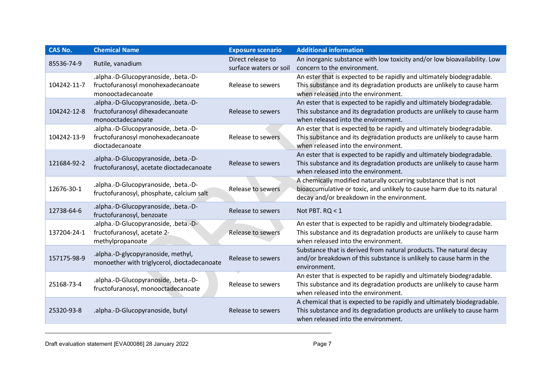| <b>CAS No.</b> | <b>Chemical Name</b>                                                                           | <b>Exposure scenario</b>                    | <b>Additional information</b>                                                                                                                                                            |
|----------------|------------------------------------------------------------------------------------------------|---------------------------------------------|------------------------------------------------------------------------------------------------------------------------------------------------------------------------------------------|
| 85536-74-9     | Rutile, vanadium                                                                               | Direct release to<br>surface waters or soil | An inorganic substance with low toxicity and/or low bioavailability. Low<br>concern to the environment.                                                                                  |
| 104242-11-7    | .alpha.-D-Glucopyranoside, .beta.-D-<br>fructofuranosyl monohexadecanoate<br>monooctadecanoate | Release to sewers                           | An ester that is expected to be rapidly and ultimately biodegradable.<br>This substance and its degradation products are unlikely to cause harm<br>when released into the environment.   |
| 104242-12-8    | .alpha.-D-Glucopyranoside, .beta.-D-<br>fructofuranosyl dihexadecanoate<br>monooctadecanoate   | Release to sewers                           | An ester that is expected to be rapidly and ultimately biodegradable.<br>This substance and its degradation products are unlikely to cause harm<br>when released into the environment.   |
| 104242-13-9    | .alpha.-D-Glucopyranoside, .beta.-D-<br>fructofuranosyl monohexadecanoate<br>dioctadecanoate   | Release to sewers                           | An ester that is expected to be rapidly and ultimately biodegradable.<br>This substance and its degradation products are unlikely to cause harm<br>when released into the environment.   |
| 121684-92-2    | .alpha.-D-Glucopyranoside, .beta.-D-<br>fructofuranosyl, acetate dioctadecanoate               | Release to sewers                           | An ester that is expected to be rapidly and ultimately biodegradable.<br>This substance and its degradation products are unlikely to cause harm<br>when released into the environment.   |
| 12676-30-1     | .alpha.-D-Glucopyranoside, .beta.-D-<br>fructofuranosyl, phosphate, calcium salt               | <b>Release to sewers</b>                    | A chemically modified naturally occurring substance that is not<br>bioaccumulative or toxic, and unlikely to cause harm due to its natural<br>decay and/or breakdown in the environment. |
| 12738-64-6     | .alpha.-D-Glucopyranoside, .beta.-D-<br>fructofuranosyl, benzoate                              | Release to sewers                           | Not PBT. RQ < 1                                                                                                                                                                          |
| 137204-24-1    | .alpha.-D-Glucopyranoside, .beta.-D-<br>fructofuranosyl, acetate 2-<br>methylpropanoate        | Release to sewers                           | An ester that is expected to be rapidly and ultimately biodegradable.<br>This substance and its degradation products are unlikely to cause harm<br>when released into the environment.   |
| 157175-98-9    | .alpha.-D-glycopyranoside, methyl,<br>monoether with triglycerol, dioctadecanoate              | Release to sewers                           | Substance that is derived from natural products. The natural decay<br>and/or breakdown of this substance is unlikely to cause harm in the<br>environment.                                |
| 25168-73-4     | .alpha.-D-Glucopyranoside, .beta.-D-<br>fructofuranosyl, monooctadecanoate                     | Release to sewers                           | An ester that is expected to be rapidly and ultimately biodegradable.<br>This substance and its degradation products are unlikely to cause harm<br>when released into the environment.   |
| 25320-93-8     | .alpha.-D-Glucopyranoside, butyl                                                               | Release to sewers                           | A chemical that is expected to be rapidly and ultimately biodegradable.<br>This substance and its degradation products are unlikely to cause harm<br>when released into the environment. |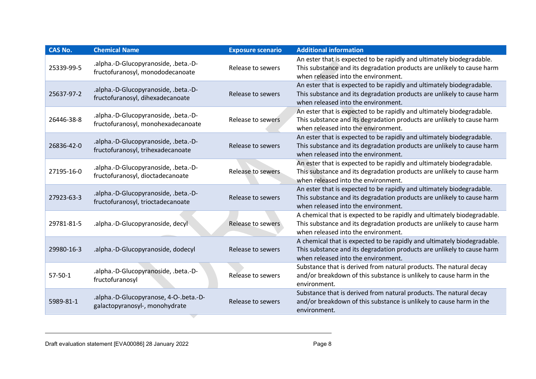| <b>CAS No.</b> | <b>Chemical Name</b>                                                       | <b>Exposure scenario</b> | <b>Additional information</b>                                                                                                                                                            |
|----------------|----------------------------------------------------------------------------|--------------------------|------------------------------------------------------------------------------------------------------------------------------------------------------------------------------------------|
| 25339-99-5     | .alpha.-D-Glucopyranoside, .beta.-D-<br>fructofuranosyl, monododecanoate   | Release to sewers        | An ester that is expected to be rapidly and ultimately biodegradable.<br>This substance and its degradation products are unlikely to cause harm<br>when released into the environment.   |
| 25637-97-2     | .alpha.-D-Glucopyranoside, .beta.-D-<br>fructofuranosyl, dihexadecanoate   | <b>Release to sewers</b> | An ester that is expected to be rapidly and ultimately biodegradable.<br>This substance and its degradation products are unlikely to cause harm<br>when released into the environment.   |
| 26446-38-8     | .alpha.-D-Glucopyranoside, .beta.-D-<br>fructofuranosyl, monohexadecanoate | Release to sewers        | An ester that is expected to be rapidly and ultimately biodegradable.<br>This substance and its degradation products are unlikely to cause harm<br>when released into the environment.   |
| 26836-42-0     | .alpha.-D-Glucopyranoside, .beta.-D-<br>fructofuranosyl, trihexadecanoate  | Release to sewers        | An ester that is expected to be rapidly and ultimately biodegradable.<br>This substance and its degradation products are unlikely to cause harm<br>when released into the environment.   |
| 27195-16-0     | .alpha.-D-Glucopyranoside, .beta.-D-<br>fructofuranosyl, dioctadecanoate   | <b>Release to sewers</b> | An ester that is expected to be rapidly and ultimately biodegradable.<br>This substance and its degradation products are unlikely to cause harm<br>when released into the environment.   |
| 27923-63-3     | .alpha.-D-Glucopyranoside, .beta.-D-<br>fructofuranosyl, trioctadecanoate  | <b>Release to sewers</b> | An ester that is expected to be rapidly and ultimately biodegradable.<br>This substance and its degradation products are unlikely to cause harm<br>when released into the environment.   |
| 29781-81-5     | .alpha.-D-Glucopyranoside, decyl                                           | Release to sewers        | A chemical that is expected to be rapidly and ultimately biodegradable.<br>This substance and its degradation products are unlikely to cause harm<br>when released into the environment. |
| 29980-16-3     | .alpha.-D-Glucopyranoside, dodecyl                                         | Release to sewers        | A chemical that is expected to be rapidly and ultimately biodegradable.<br>This substance and its degradation products are unlikely to cause harm<br>when released into the environment. |
| $57 - 50 - 1$  | .alpha.-D-Glucopyranoside, .beta.-D-<br>fructofuranosyl                    | Release to sewers        | Substance that is derived from natural products. The natural decay<br>and/or breakdown of this substance is unlikely to cause harm in the<br>environment.                                |
| 5989-81-1      | .alpha.-D-Glucopyranose, 4-O-.beta.-D-<br>galactopyranosyl-, monohydrate   | Release to sewers        | Substance that is derived from natural products. The natural decay<br>and/or breakdown of this substance is unlikely to cause harm in the<br>environment.                                |

ਵ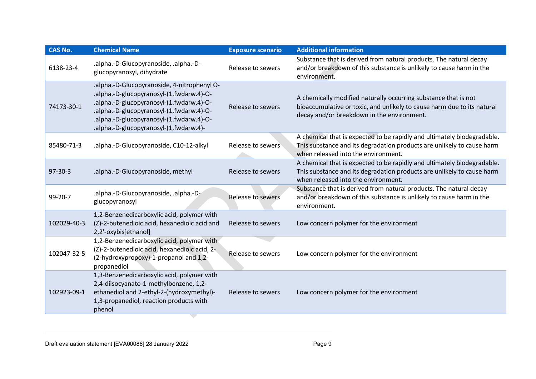| <b>CAS No.</b> | <b>Chemical Name</b>                                                                                                                                                                                                                                                  | <b>Exposure scenario</b> | <b>Additional information</b>                                                                                                                                                            |
|----------------|-----------------------------------------------------------------------------------------------------------------------------------------------------------------------------------------------------------------------------------------------------------------------|--------------------------|------------------------------------------------------------------------------------------------------------------------------------------------------------------------------------------|
| 6138-23-4      | .alpha.-D-Glucopyranoside, .alpha.-D-<br>glucopyranosyl, dihydrate                                                                                                                                                                                                    | Release to sewers        | Substance that is derived from natural products. The natural decay<br>and/or breakdown of this substance is unlikely to cause harm in the<br>environment.                                |
| 74173-30-1     | .alpha.-D-Glucopyranoside, 4-nitrophenyl O-<br>.alpha.-D-glucopyranosyl-(1.fwdarw.4)-O-<br>.alpha.-D-glucopyranosyl-(1.fwdarw.4)-O-<br>.alpha.-D-glucopyranosyl-(1.fwdarw.4)-O-<br>.alpha.-D-glucopyranosyl-(1.fwdarw.4)-O-<br>.alpha.-D-glucopyranosyl-(1.fwdarw.4)- | Release to sewers        | A chemically modified naturally occurring substance that is not<br>bioaccumulative or toxic, and unlikely to cause harm due to its natural<br>decay and/or breakdown in the environment. |
| 85480-71-3     | .alpha.-D-Glucopyranoside, C10-12-alkyl                                                                                                                                                                                                                               | Release to sewers        | A chemical that is expected to be rapidly and ultimately biodegradable.<br>This substance and its degradation products are unlikely to cause harm<br>when released into the environment. |
| $97 - 30 - 3$  | .alpha.-D-Glucopyranoside, methyl                                                                                                                                                                                                                                     | Release to sewers        | A chemical that is expected to be rapidly and ultimately biodegradable.<br>This substance and its degradation products are unlikely to cause harm<br>when released into the environment. |
| 99-20-7        | .alpha.-D-Glucopyranoside, .alpha.-D-<br>glucopyranosyl                                                                                                                                                                                                               | Release to sewers        | Substance that is derived from natural products. The natural decay<br>and/or breakdown of this substance is unlikely to cause harm in the<br>environment.                                |
| 102029-40-3    | 1,2-Benzenedicarboxylic acid, polymer with<br>(Z)-2-butenedioic acid, hexanedioic acid and<br>2,2'-oxybis[ethanol]                                                                                                                                                    | Release to sewers        | Low concern polymer for the environment                                                                                                                                                  |
| 102047-32-5    | 1,2-Benzenedicarboxylic acid, polymer with<br>(Z)-2-butenedioic acid, hexanedioic acid, 2-<br>(2-hydroxypropoxy)-1-propanol and 1,2-<br>propanediol                                                                                                                   | Release to sewers        | Low concern polymer for the environment                                                                                                                                                  |
| 102923-09-1    | 1,3-Benzenedicarboxylic acid, polymer with<br>2,4-diisocyanato-1-methylbenzene, 1,2-<br>ethanediol and 2-ethyl-2-(hydroxymethyl)-<br>1,3-propanediol, reaction products with<br>phenol                                                                                | Release to sewers        | Low concern polymer for the environment                                                                                                                                                  |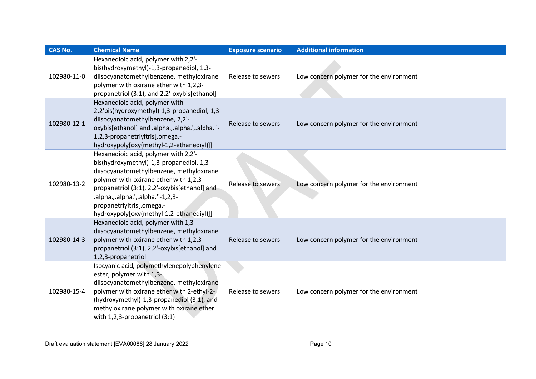| <b>CAS No.</b> | <b>Chemical Name</b>                                                                                                                                                                                                                                                                                                                | <b>Exposure scenario</b> | <b>Additional information</b>           |
|----------------|-------------------------------------------------------------------------------------------------------------------------------------------------------------------------------------------------------------------------------------------------------------------------------------------------------------------------------------|--------------------------|-----------------------------------------|
| 102980-11-0    | Hexanedioic acid, polymer with 2,2'-<br>bis(hydroxymethyl)-1,3-propanediol, 1,3-<br>diisocyanatomethylbenzene, methyloxirane<br>polymer with oxirane ether with 1,2,3-<br>propanetriol (3:1), and 2,2'-oxybis[ethanol]                                                                                                              | Release to sewers        | Low concern polymer for the environment |
| 102980-12-1    | Hexanedioic acid, polymer with<br>2,2'bis(hydroxymethyl)-1,3-propanediol, 1,3-<br>diisocyanatomethylbenzene, 2,2'-<br>oxybis[ethanol] and .alpha., .alpha.', .alpha."-<br>1,2,3-propanetriyltris[.omega.-<br>hydroxypoly[oxy(methyl-1,2-ethanediyl)]]                                                                               | Release to sewers        | Low concern polymer for the environment |
| 102980-13-2    | Hexanedioic acid, polymer with 2,2'-<br>bis(hydroxymethyl)-1,3-propanediol, 1,3-<br>diisocyanatomethylbenzene, methyloxirane<br>polymer with oxirane ether with 1,2,3-<br>propanetriol (3:1), 2,2'-oxybis[ethanol] and<br>.alpha.,.alpha.',.alpha."-1,2,3-<br>propanetriyltris[.omega.-<br>hydroxypoly[oxy(methyl-1,2-ethanediyl)]] | Release to sewers        | Low concern polymer for the environment |
| 102980-14-3    | Hexanedioic acid, polymer with 1,3-<br>diisocyanatomethylbenzene, methyloxirane<br>polymer with oxirane ether with 1,2,3-<br>propanetriol (3:1), 2,2'-oxybis[ethanol] and<br>1,2,3-propanetriol                                                                                                                                     | Release to sewers        | Low concern polymer for the environment |
| 102980-15-4    | Isocyanic acid, polymethylenepolyphenylene<br>ester, polymer with 1,3-<br>diisocyanatomethylbenzene, methyloxirane<br>polymer with oxirane ether with 2-ethyl-2-<br>(hydroxymethyl)-1,3-propanediol (3:1), and<br>methyloxirane polymer with oxirane ether<br>with 1,2,3-propanetriol (3:1)                                         | Release to sewers        | Low concern polymer for the environment |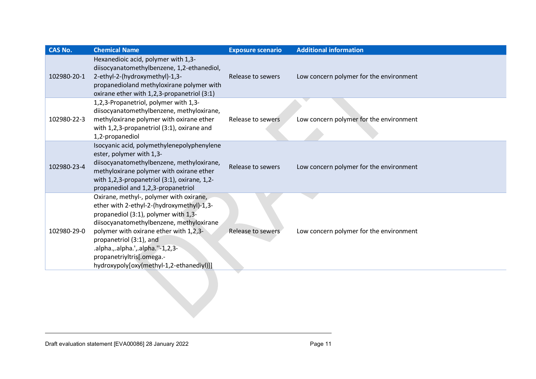| <b>CAS No.</b> | <b>Chemical Name</b>                                                                                                                                                                                                                                                                                                                                          | <b>Exposure scenario</b> | <b>Additional information</b>           |
|----------------|---------------------------------------------------------------------------------------------------------------------------------------------------------------------------------------------------------------------------------------------------------------------------------------------------------------------------------------------------------------|--------------------------|-----------------------------------------|
| 102980-20-1    | Hexanedioic acid, polymer with 1,3-<br>diisocyanatomethylbenzene, 1,2-ethanediol,<br>2-ethyl-2-(hydroxymethyl)-1,3-<br>propanedioland methyloxirane polymer with<br>oxirane ether with 1,2,3-propanetriol (3:1)                                                                                                                                               | Release to sewers        | Low concern polymer for the environment |
| 102980-22-3    | 1,2,3-Propanetriol, polymer with 1,3-<br>diisocyanatomethylbenzene, methyloxirane,<br>methyloxirane polymer with oxirane ether<br>with 1,2,3-propanetriol (3:1), oxirane and<br>1,2-propanediol                                                                                                                                                               | Release to sewers        | Low concern polymer for the environment |
| 102980-23-4    | Isocyanic acid, polymethylenepolyphenylene<br>ester, polymer with 1,3-<br>diisocyanatomethylbenzene, methyloxirane,<br>methyloxirane polymer with oxirane ether<br>with 1,2,3-propanetriol (3:1), oxirane, 1,2-<br>propanediol and 1,2,3-propanetriol                                                                                                         | Release to sewers        | Low concern polymer for the environment |
| 102980-29-0    | Oxirane, methyl-, polymer with oxirane,<br>ether with 2-ethyl-2-(hydroxymethyl)-1,3-<br>propanediol (3:1), polymer with 1,3-<br>diisocyanatomethylbenzene, methyloxirane<br>polymer with oxirane ether with 1, 2, 3-<br>propanetriol (3:1), and<br>.alpha.,.alpha.',.alpha.''-1,2,3-<br>propanetriyltris[.omega.-<br>hydroxypoly[oxy(methyl-1,2-ethanediyl)]] | Release to sewers        | Low concern polymer for the environment |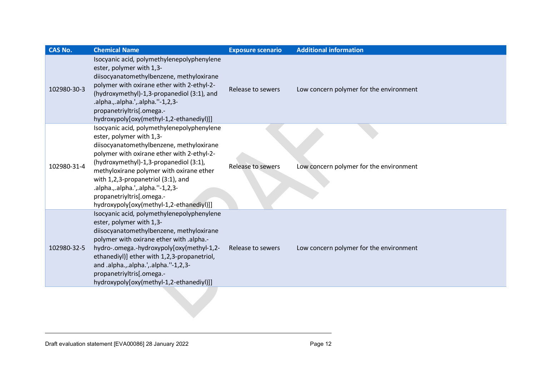| CAS No.     | <b>Chemical Name</b>                                                                                                                                                                                                                                                                                                                                                                                       | <b>Exposure scenario</b> | <b>Additional information</b>           |
|-------------|------------------------------------------------------------------------------------------------------------------------------------------------------------------------------------------------------------------------------------------------------------------------------------------------------------------------------------------------------------------------------------------------------------|--------------------------|-----------------------------------------|
| 102980-30-3 | Isocyanic acid, polymethylenepolyphenylene<br>ester, polymer with 1,3-<br>diisocyanatomethylbenzene, methyloxirane<br>polymer with oxirane ether with 2-ethyl-2-<br>(hydroxymethyl)-1,3-propanediol (3:1), and<br>.alpha.,.alpha.',.alpha.''-1,2,3-<br>propanetriyltris[.omega.-<br>hydroxypoly[oxy(methyl-1,2-ethanediyl)]]                                                                               | Release to sewers        | Low concern polymer for the environment |
| 102980-31-4 | Isocyanic acid, polymethylenepolyphenylene<br>ester, polymer with 1,3-<br>diisocyanatomethylbenzene, methyloxirane<br>polymer with oxirane ether with 2-ethyl-2-<br>(hydroxymethyl)-1,3-propanediol (3:1),<br>methyloxirane polymer with oxirane ether<br>with 1,2,3-propanetriol (3:1), and<br>.alpha.,.alpha.',.alpha.''-1,2,3-<br>propanetriyltris[.omega.-<br>hydroxypoly[oxy(methyl-1,2-ethanediyl)]] | Release to sewers        | Low concern polymer for the environment |
| 102980-32-5 | Isocyanic acid, polymethylenepolyphenylene<br>ester, polymer with 1,3-<br>diisocyanatomethylbenzene, methyloxirane<br>polymer with oxirane ether with .alpha.-<br>hydro-.omega.-hydroxypoly[oxy(methyl-1,2-<br>ethanediyl)] ether with 1,2,3-propanetriol,<br>and .alpha.,.alpha.',.alpha.''-1,2,3-<br>propanetriyltris[.omega.-<br>hydroxypoly[oxy(methyl-1,2-ethanediyl)]]                               | Release to sewers        | Low concern polymer for the environment |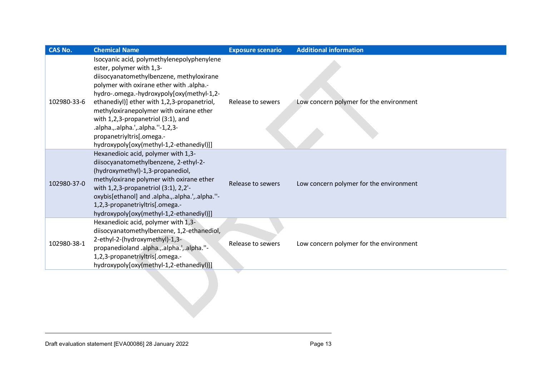| <b>CAS No.</b> | <b>Chemical Name</b>                                                                                                                                                                                                                                                                                                                                                                                                                                     | <b>Exposure scenario</b> | <b>Additional information</b>           |
|----------------|----------------------------------------------------------------------------------------------------------------------------------------------------------------------------------------------------------------------------------------------------------------------------------------------------------------------------------------------------------------------------------------------------------------------------------------------------------|--------------------------|-----------------------------------------|
| 102980-33-6    | Isocyanic acid, polymethylenepolyphenylene<br>ester, polymer with 1,3-<br>diisocyanatomethylbenzene, methyloxirane<br>polymer with oxirane ether with .alpha.-<br>hydro-.omega.-hydroxypoly[oxy(methyl-1,2-<br>ethanediyl)] ether with 1,2,3-propanetriol,<br>methyloxiranepolymer with oxirane ether<br>with 1,2,3-propanetriol (3:1), and<br>.alpha.,.alpha.',.alpha."-1,2,3-<br>propanetriyltris[.omega.-<br>hydroxypoly[oxy(methyl-1,2-ethanediyl)]] | Release to sewers        | Low concern polymer for the environment |
| 102980-37-0    | Hexanedioic acid, polymer with 1,3-<br>diisocyanatomethylbenzene, 2-ethyl-2-<br>(hydroxymethyl)-1,3-propanediol,<br>methyloxirane polymer with oxirane ether<br>with 1,2,3-propanetriol (3:1), 2,2'-<br>oxybis[ethanol] and .alpha., .alpha.', .alpha."-<br>1,2,3-propanetriyltris[.omega.-<br>hydroxypoly[oxy(methyl-1,2-ethanediyl)]]                                                                                                                  | Release to sewers        | Low concern polymer for the environment |
| 102980-38-1    | Hexanedioic acid, polymer with 1,3-<br>diisocyanatomethylbenzene, 1,2-ethanediol,<br>2-ethyl-2-(hydroxymethyl)-1,3-<br>propanedioland .alpha., .alpha.', .alpha."-<br>1,2,3-propanetriyltris[.omega.-<br>hydroxypoly[oxy(methyl-1,2-ethanediyl)]]                                                                                                                                                                                                        | Release to sewers        | Low concern polymer for the environment |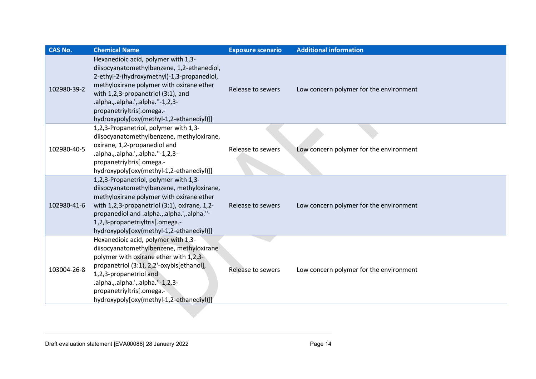| <b>CAS No.</b> | <b>Chemical Name</b>                                                                                                                                                                                                                                                                                                            | <b>Exposure scenario</b> | <b>Additional information</b>           |
|----------------|---------------------------------------------------------------------------------------------------------------------------------------------------------------------------------------------------------------------------------------------------------------------------------------------------------------------------------|--------------------------|-----------------------------------------|
| 102980-39-2    | Hexanedioic acid, polymer with 1,3-<br>diisocyanatomethylbenzene, 1,2-ethanediol,<br>2-ethyl-2-(hydroxymethyl)-1,3-propanediol,<br>methyloxirane polymer with oxirane ether<br>with 1,2,3-propanetriol (3:1), and<br>.alpha.,.alpha.',.alpha.''-1,2,3-<br>propanetriyltris[.omega.-<br>hydroxypoly[oxy(methyl-1,2-ethanediyl)]] | Release to sewers        | Low concern polymer for the environment |
| 102980-40-5    | 1,2,3-Propanetriol, polymer with 1,3-<br>diisocyanatomethylbenzene, methyloxirane,<br>oxirane, 1,2-propanediol and<br>.alpha.,.alpha.',.alpha.''-1,2,3-<br>propanetriyltris[.omega.-<br>hydroxypoly[oxy(methyl-1,2-ethanediyl)]]                                                                                                | Release to sewers        | Low concern polymer for the environment |
| 102980-41-6    | 1,2,3-Propanetriol, polymer with 1,3-<br>diisocyanatomethylbenzene, methyloxirane,<br>methyloxirane polymer with oxirane ether<br>with 1,2,3-propanetriol (3:1), oxirane, 1,2-<br>propanediol and .alpha., .alpha.', .alpha."-<br>1,2,3-propanetriyltris[.omega.-<br>hydroxypoly[oxy(methyl-1,2-ethanediyl)]]                   | Release to sewers        | Low concern polymer for the environment |
| 103004-26-8    | Hexanedioic acid, polymer with 1,3-<br>diisocyanatomethylbenzene, methyloxirane<br>polymer with oxirane ether with 1,2,3-<br>propanetriol (3:1), 2,2'-oxybis[ethanol],<br>1,2,3-propanetriol and<br>.alpha.,.alpha.',.alpha.''-1,2,3-<br>propanetriyltris[.omega.-<br>hydroxypoly[oxy(methyl-1,2-ethanediyl)]]                  | Release to sewers        | Low concern polymer for the environment |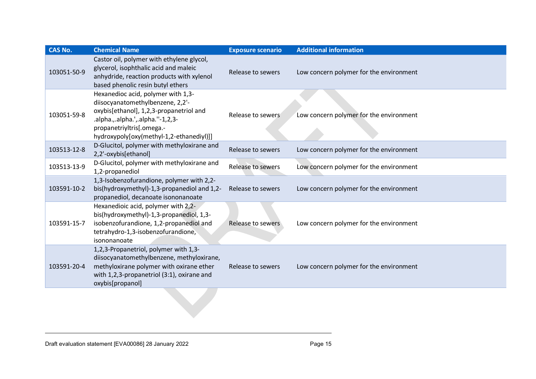| <b>CAS No.</b> | <b>Chemical Name</b>                                                                                                                                                                                                            | <b>Exposure scenario</b> | <b>Additional information</b>           |
|----------------|---------------------------------------------------------------------------------------------------------------------------------------------------------------------------------------------------------------------------------|--------------------------|-----------------------------------------|
| 103051-50-9    | Castor oil, polymer with ethylene glycol,<br>glycerol, isophthalic acid and maleic<br>anhydride, reaction products with xylenol<br>based phenolic resin butyl ethers                                                            | Release to sewers        | Low concern polymer for the environment |
| 103051-59-8    | Hexanedioc acid, polymer with 1,3-<br>diisocyanatomethylbenzene, 2,2'-<br>oxybis[ethanol], 1,2,3-propanetriol and<br>.alpha.,.alpha.',.alpha.''-1,2,3-<br>propanetriyltris[.omega.-<br>hydroxypoly[oxy(methyl-1,2-ethanediyl)]] | Release to sewers        | Low concern polymer for the environment |
| 103513-12-8    | D-Glucitol, polymer with methyloxirane and<br>2,2'-oxybis[ethanol]                                                                                                                                                              | Release to sewers        | Low concern polymer for the environment |
| 103513-13-9    | D-Glucitol, polymer with methyloxirane and<br>1,2-propanediol                                                                                                                                                                   | Release to sewers        | Low concern polymer for the environment |
| 103591-10-2    | 1,3-Isobenzofurandione, polymer with 2,2-<br>bis(hydroxymethyl)-1,3-propanediol and 1,2-<br>propanediol, decanoate isononanoate                                                                                                 | Release to sewers        | Low concern polymer for the environment |
| 103591-15-7    | Hexanedioic acid, polymer with 2,2-<br>bis(hydroxymethyl)-1,3-propanediol, 1,3-<br>isobenzofurandione, 1,2-propanediol and<br>tetrahydro-1,3-isobenzofurandione,<br>isononanoate                                                | Release to sewers        | Low concern polymer for the environment |
| 103591-20-4    | 1,2,3-Propanetriol, polymer with 1,3-<br>diisocyanatomethylbenzene, methyloxirane,<br>methyloxirane polymer with oxirane ether<br>with 1,2,3-propanetriol (3:1), oxirane and<br>oxybis[propanol]                                | Release to sewers        | Low concern polymer for the environment |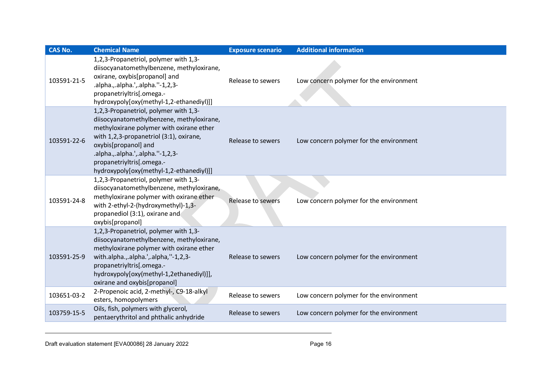| <b>CAS No.</b> | <b>Chemical Name</b>                                                                                                                                                                                                                                                                                            | <b>Exposure scenario</b> | <b>Additional information</b>           |
|----------------|-----------------------------------------------------------------------------------------------------------------------------------------------------------------------------------------------------------------------------------------------------------------------------------------------------------------|--------------------------|-----------------------------------------|
| 103591-21-5    | 1,2,3-Propanetriol, polymer with 1,3-<br>diisocyanatomethylbenzene, methyloxirane,<br>oxirane, oxybis[propanol] and<br>.alpha.,.alpha.',.alpha.''-1,2,3-<br>propanetriyltris[.omega.-<br>hydroxypoly[oxy(methyl-1,2-ethanediyl)]]                                                                               | Release to sewers        | Low concern polymer for the environment |
| 103591-22-6    | 1,2,3-Propanetriol, polymer with 1,3-<br>diisocyanatomethylbenzene, methyloxirane,<br>methyloxirane polymer with oxirane ether<br>with 1,2,3-propanetriol (3:1), oxirane,<br>oxybis[propanol] and<br>.alpha.,.alpha.',.alpha.''-1,2,3-<br>propanetriyltris[.omega.-<br>hydroxypoly[oxy(methyl-1,2-ethanediyl)]] | Release to sewers        | Low concern polymer for the environment |
| 103591-24-8    | 1,2,3-Propanetriol, polymer with 1,3-<br>diisocyanatomethylbenzene, methyloxirane,<br>methyloxirane polymer with oxirane ether<br>with 2-ethyl-2-(hydroxymethyl)-1,3-<br>propanediol (3:1), oxirane and<br>oxybis[propanol]                                                                                     | <b>Release to sewers</b> | Low concern polymer for the environment |
| 103591-25-9    | 1,2,3-Propanetriol, polymer with 1,3-<br>diisocyanatomethylbenzene, methyloxirane,<br>methyloxirane polymer with oxirane ether<br>with.alpha.,.alpha.',.alpha,"-1,2,3-<br>propanetriyltris[.omega.-<br>hydroxypoly[oxy(methyl-1,2ethanediyl)]],<br>oxirane and oxybis[propanol]                                 | Release to sewers        | Low concern polymer for the environment |
| 103651-03-2    | 2-Propenoic acid, 2-methyl-, C9-18-alkyl<br>esters, homopolymers                                                                                                                                                                                                                                                | Release to sewers        | Low concern polymer for the environment |
| 103759-15-5    | Oils, fish, polymers with glycerol,<br>pentaerythritol and phthalic anhydride                                                                                                                                                                                                                                   | Release to sewers        | Low concern polymer for the environment |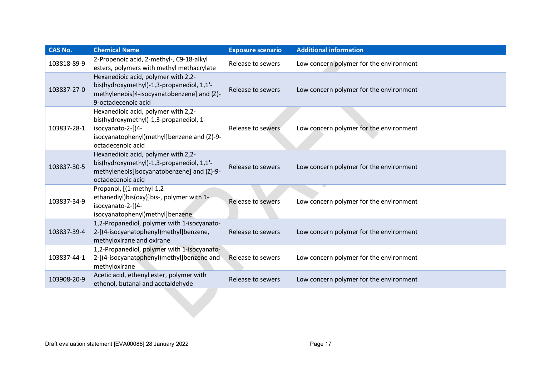| <b>CAS No.</b> | <b>Chemical Name</b>                                                                                                                                                  | <b>Exposure scenario</b> | <b>Additional information</b>           |
|----------------|-----------------------------------------------------------------------------------------------------------------------------------------------------------------------|--------------------------|-----------------------------------------|
| 103818-89-9    | 2-Propenoic acid, 2-methyl-, C9-18-alkyl<br>esters, polymers with methyl methacrylate                                                                                 | Release to sewers        | Low concern polymer for the environment |
| 103837-27-0    | Hexanedioic acid, polymer with 2,2-<br>bis(hydroxymethyl)-1,3-propanediol, 1,1'-<br>methylenebis[4-isocyanatobenzene] and (Z)-<br>9-octadecenoic acid                 | Release to sewers        | Low concern polymer for the environment |
| 103837-28-1    | Hexanedioic acid, polymer with 2,2-<br>bis(hydroxymethyl)-1,3-propanediol, 1-<br>isocyanato-2-[(4-<br>isocyanatophenyl)methyl]benzene and (Z)-9-<br>octadecenoic acid | Release to sewers        | Low concern polymer for the environment |
| 103837-30-5    | Hexanedioic acid, polymer with 2,2-<br>bis(hydroxymethyl)-1,3-propanediol, 1,1'-<br>methylenebis[isocyanatobenzene] and (Z)-9-<br>octadecenoic acid                   | Release to sewers        | Low concern polymer for the environment |
| 103837-34-9    | Propanol, [(1-methyl-1,2-<br>ethanediyl)bis(oxy)]bis-, polymer with 1-<br>isocyanato-2-[(4-<br>isocyanatophenyl)methyl]benzene                                        | <b>Release to sewers</b> | Low concern polymer for the environment |
| 103837-39-4    | 1,2-Propanediol, polymer with 1-isocyanato-<br>2-[(4-isocyanatophenyl)methyl]benzene,<br>methyloxirane and oxirane                                                    | Release to sewers        | Low concern polymer for the environment |
| 103837-44-1    | 1,2-Propanediol, polymer with 1-isocyanato-<br>2-[(4-isocyanatophenyl)methyl]benzene and<br>methyloxirane                                                             | Release to sewers        | Low concern polymer for the environment |
| 103908-20-9    | Acetic acid, ethenyl ester, polymer with<br>ethenol, butanal and acetaldehyde                                                                                         | Release to sewers        | Low concern polymer for the environment |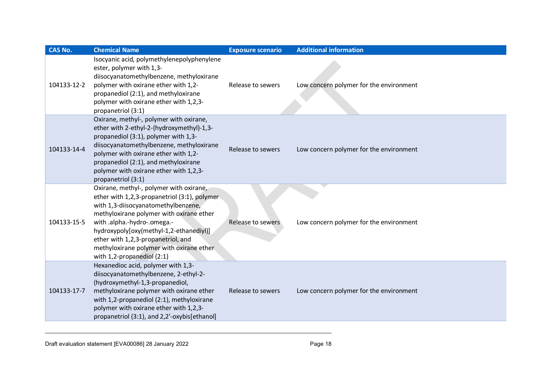| <b>CAS No.</b> | <b>Chemical Name</b>                                                                                                                                                                                                                                                                                                                                                      | <b>Exposure scenario</b> | <b>Additional information</b>           |
|----------------|---------------------------------------------------------------------------------------------------------------------------------------------------------------------------------------------------------------------------------------------------------------------------------------------------------------------------------------------------------------------------|--------------------------|-----------------------------------------|
| 104133-12-2    | Isocyanic acid, polymethylenepolyphenylene<br>ester, polymer with 1,3-<br>diisocyanatomethylbenzene, methyloxirane<br>polymer with oxirane ether with 1,2-<br>propanediol (2:1), and methyloxirane<br>polymer with oxirane ether with 1,2,3-<br>propanetriol (3:1)                                                                                                        | Release to sewers        | Low concern polymer for the environment |
| 104133-14-4    | Oxirane, methyl-, polymer with oxirane,<br>ether with 2-ethyl-2-(hydroxymethyl)-1,3-<br>propanediol (3:1), polymer with 1,3-<br>diisocyanatomethylbenzene, methyloxirane<br>polymer with oxirane ether with 1,2-<br>propanediol (2:1), and methyloxirane<br>polymer with oxirane ether with 1,2,3-<br>propanetriol (3:1)                                                  | Release to sewers        | Low concern polymer for the environment |
| 104133-15-5    | Oxirane, methyl-, polymer with oxirane,<br>ether with 1,2,3-propanetriol (3:1), polymer<br>with 1,3-diisocyanatomethylbenzene,<br>methyloxirane polymer with oxirane ether<br>with .alpha.-hydro-.omega.-<br>hydroxypoly[oxy(methyl-1,2-ethanediyl)]<br>ether with 1,2,3-propanetriol, and<br>methyloxirane polymer with oxirane ether<br>with $1,2$ -propanediol $(2:1)$ | Release to sewers        | Low concern polymer for the environment |
| 104133-17-7    | Hexanedioc acid, polymer with 1,3-<br>diisocyanatomethylbenzene, 2-ethyl-2-<br>(hydroxymethyl-1,3-propanediol,<br>methyloxirane polymer with oxirane ether<br>with 1,2-propanediol (2:1), methyloxirane<br>polymer with oxirane ether with 1,2,3-<br>propanetriol (3:1), and 2,2'-oxybis[ethanol]                                                                         | Release to sewers        | Low concern polymer for the environment |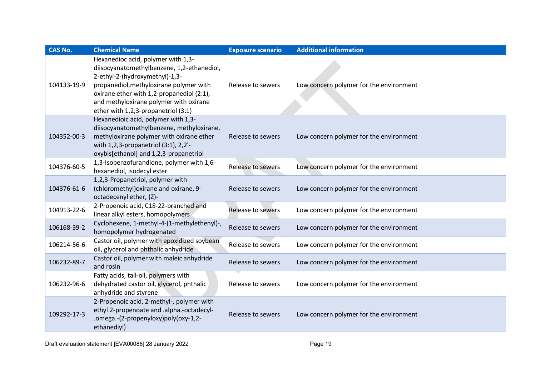| <b>CAS No.</b> | <b>Chemical Name</b>                                                                                                                                                                                                                                                                        | <b>Exposure scenario</b> | <b>Additional information</b>           |
|----------------|---------------------------------------------------------------------------------------------------------------------------------------------------------------------------------------------------------------------------------------------------------------------------------------------|--------------------------|-----------------------------------------|
| 104133-19-9    | Hexanedioc acid, polymer with 1,3-<br>diisocyanatomethylbenzene, 1,2-ethanediol,<br>2-ethyl-2-(hydroxymethyl)-1,3-<br>propanediol, methyloxirane polymer with<br>oxirane ether with 1,2-propanediol (2:1),<br>and methyloxirane polymer with oxirane<br>ether with 1,2,3-propanetriol (3:1) | Release to sewers        | Low concern polymer for the environment |
| 104352-00-3    | Hexanedioic acid, polymer with 1,3-<br>diisocyanatomethylbenzene, methyloxirane,<br>methyloxirane polymer with oxirane ether<br>with 1,2,3-propanetriol (3:1), 2,2'-<br>oxybis[ethanol] and 1,2,3-propanetriol                                                                              | Release to sewers        | Low concern polymer for the environment |
| 104376-60-5    | 1,3-Isobenzofurandione, polymer with 1,6-<br>hexanediol, isodecyl ester                                                                                                                                                                                                                     | Release to sewers        | Low concern polymer for the environment |
| 104376-61-6    | 1,2,3-Propanetriol, polymer with<br>(chloromethyl) oxirane and oxirane, 9-<br>octadecenyl ether, (Z)-                                                                                                                                                                                       | Release to sewers        | Low concern polymer for the environment |
| 104913-22-6    | 2-Propenoic acid, C18-22-branched and<br>linear alkyl esters, homopolymers                                                                                                                                                                                                                  | Release to sewers        | Low concern polymer for the environment |
| 106168-39-2    | Cyclohexene, 1-methyl-4-(1-methylethenyl)-,<br>homopolymer hydrogenated                                                                                                                                                                                                                     | Release to sewers        | Low concern polymer for the environment |
| 106214-56-6    | Castor oil, polymer with epoxidized soybean<br>oil, glycerol and phthalic anhydride                                                                                                                                                                                                         | Release to sewers        | Low concern polymer for the environment |
| 106232-89-7    | Castor oil, polymer with maleic anhydride<br>and rosin                                                                                                                                                                                                                                      | Release to sewers        | Low concern polymer for the environment |
| 106232-96-6    | Fatty acids, tall-oil, polymers with<br>dehydrated castor oil, glycerol, phthalic<br>anhydride and styrene                                                                                                                                                                                  | Release to sewers        | Low concern polymer for the environment |
| 109292-17-3    | 2-Propenoic acid, 2-methyl-, polymer with<br>ethyl 2-propenoate and .alpha.-octadecyl-<br>.omega.-(2-propenyloxy)poly(oxy-1,2-<br>ethanediyl)                                                                                                                                               | Release to sewers        | Low concern polymer for the environment |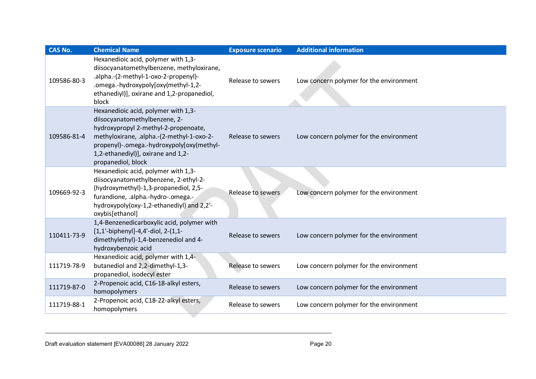| <b>CAS No.</b> | <b>Chemical Name</b>                                                                                                                                                                                                                                               | <b>Exposure scenario</b> | <b>Additional information</b>           |
|----------------|--------------------------------------------------------------------------------------------------------------------------------------------------------------------------------------------------------------------------------------------------------------------|--------------------------|-----------------------------------------|
| 109586-80-3    | Hexanedioic acid, polymer with 1,3-<br>diisocyanatomethylbenzene, methyloxirane,<br>.alpha.-(2-methyl-1-oxo-2-propenyl)-<br>.omega.-hydroxypoly[oxy(methyl-1,2-<br>ethanediyl)], oxirane and 1,2-propanediol,<br>block                                             | Release to sewers        | Low concern polymer for the environment |
| 109586-81-4    | Hexanedioic acid, polymer with 1,3-<br>diisocyanatomethylbenzene, 2-<br>hydroxypropyl 2-methyl-2-propenoate,<br>methyloxirane, .alpha.-(2-methyl-1-oxo-2-<br>propenyl)-.omega.-hydroxypoly[oxy(methyl-<br>1,2-ethanediyl)], oxirane and 1,2-<br>propanediol, block | Release to sewers        | Low concern polymer for the environment |
| 109669-92-3    | Hexanedioic acid, polymer with 1,3-<br>diisocyanatomethylbenzene, 2-ethyl-2-<br>(hydroxymethyl)-1,3-propanediol, 2,5-<br>furandione, .alpha.-hydro-.omega.-<br>hydroxypoly(oxy-1,2-ethanediyl) and 2,2'-<br>oxybis[ethanol]                                        | Release to sewers        | Low concern polymer for the environment |
| 110411-73-9    | 1,4-Benzenedicarboxylic acid, polymer with<br>[1,1'-biphenyl]-4,4'-diol, 2-(1,1-<br>dimethylethyl)-1,4-benzenediol and 4-<br>hydroxybenzoic acid                                                                                                                   | Release to sewers        | Low concern polymer for the environment |
| 111719-78-9    | Hexanedioic acid, polymer with 1,4-<br>butanediol and 2,2-dimethyl-1,3-<br>propanediol, isodecyl ester                                                                                                                                                             | Release to sewers        | Low concern polymer for the environment |
| 111719-87-0    | 2-Propenoic acid, C16-18-alkyl esters,<br>homopolymers                                                                                                                                                                                                             | Release to sewers        | Low concern polymer for the environment |
| 111719-88-1    | 2-Propenoic acid, C18-22-alkyl esters,<br>homopolymers                                                                                                                                                                                                             | Release to sewers        | Low concern polymer for the environment |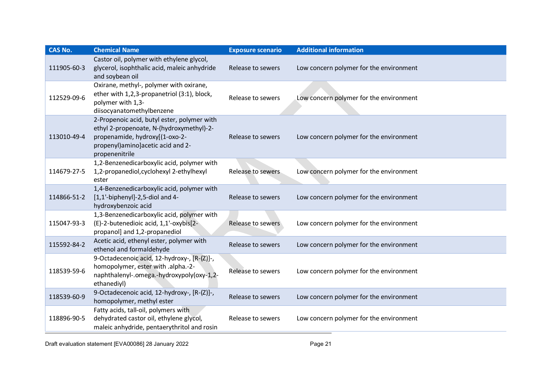| <b>CAS No.</b> | <b>Chemical Name</b>                                                                                                                                                               | <b>Exposure scenario</b> | <b>Additional information</b>           |
|----------------|------------------------------------------------------------------------------------------------------------------------------------------------------------------------------------|--------------------------|-----------------------------------------|
| 111905-60-3    | Castor oil, polymer with ethylene glycol,<br>glycerol, isophthalic acid, maleic anhydride<br>and soybean oil                                                                       | Release to sewers        | Low concern polymer for the environment |
| 112529-09-6    | Oxirane, methyl-, polymer with oxirane,<br>ether with 1,2,3-propanetriol (3:1), block,<br>polymer with 1,3-<br>diisocyanatomethylbenzene                                           | Release to sewers        | Low concern polymer for the environment |
| 113010-49-4    | 2-Propenoic acid, butyl ester, polymer with<br>ethyl 2-propenoate, N-(hydroxymethyl)-2-<br>propenamide, hydroxy[(1-oxo-2-<br>propenyl) amino] acetic acid and 2-<br>propenenitrile | Release to sewers        | Low concern polymer for the environment |
| 114679-27-5    | 1,2-Benzenedicarboxylic acid, polymer with<br>1,2-propanediol, cyclohexyl 2-ethylhexyl<br>ester                                                                                    | Release to sewers        | Low concern polymer for the environment |
| 114866-51-2    | 1,4-Benzenedicarboxylic acid, polymer with<br>$[1,1'-bipheny$ ]-2,5-diol and 4-<br>hydroxybenzoic acid                                                                             | Release to sewers        | Low concern polymer for the environment |
| 115047-93-3    | 1,3-Benzenedicarboxylic acid, polymer with<br>(E)-2-butenedioic acid, 1,1'-oxybis[2-<br>propanol] and 1,2-propanediol                                                              | Release to sewers        | Low concern polymer for the environment |
| 115592-84-2    | Acetic acid, ethenyl ester, polymer with<br>ethenol and formaldehyde                                                                                                               | Release to sewers        | Low concern polymer for the environment |
| 118539-59-6    | 9-Octadecenoic acid, 12-hydroxy-, [R-(Z)]-,<br>homopolymer, ester with .alpha.-2-<br>naphthalenyl-.omega.-hydroxypoly(oxy-1,2-<br>ethanediyl)                                      | Release to sewers        | Low concern polymer for the environment |
| 118539-60-9    | 9-Octadecenoic acid, 12-hydroxy-, [R-(Z)]-,<br>homopolymer, methyl ester                                                                                                           | Release to sewers        | Low concern polymer for the environment |
| 118896-90-5    | Fatty acids, tall-oil, polymers with<br>dehydrated castor oil, ethylene glycol,<br>maleic anhydride, pentaerythritol and rosin                                                     | Release to sewers        | Low concern polymer for the environment |

Draft evaluation statement [EVA00086] 28 January 2022 **Page 21** Page 21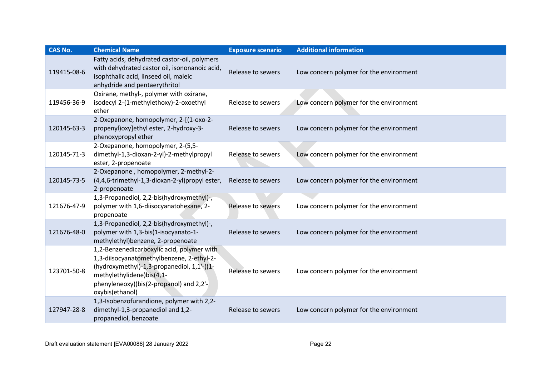| <b>CAS No.</b> | <b>Chemical Name</b>                                                                                                                                                                                                             | <b>Exposure scenario</b> | <b>Additional information</b>           |
|----------------|----------------------------------------------------------------------------------------------------------------------------------------------------------------------------------------------------------------------------------|--------------------------|-----------------------------------------|
| 119415-08-6    | Fatty acids, dehydrated castor-oil, polymers<br>with dehydrated castor oil, isononanoic acid,<br>isophthalic acid, linseed oil, maleic<br>anhydride and pentaerythritol                                                          | Release to sewers        | Low concern polymer for the environment |
| 119456-36-9    | Oxirane, methyl-, polymer with oxirane,<br>isodecyl 2-(1-methylethoxy)-2-oxoethyl<br>ether                                                                                                                                       | Release to sewers        | Low concern polymer for the environment |
| 120145-63-3    | 2-Oxepanone, homopolymer, 2-[(1-oxo-2-<br>propenyl) oxy] ethyl ester, 2-hydroxy-3-<br>phenoxypropyl ether                                                                                                                        | Release to sewers        | Low concern polymer for the environment |
| 120145-71-3    | 2-Oxepanone, homopolymer, 2-(5,5-<br>dimethyl-1,3-dioxan-2-yl)-2-methylpropyl<br>ester, 2-propenoate                                                                                                                             | Release to sewers        | Low concern polymer for the environment |
| 120145-73-5    | 2-Oxepanone, homopolymer, 2-methyl-2-<br>(4,4,6-trimethyl-1,3-dioxan-2-yl)propyl ester,<br>2-propenoate                                                                                                                          | Release to sewers        | Low concern polymer for the environment |
| 121676-47-9    | 1,3-Propanediol, 2,2-bis(hydroxymethyl)-,<br>polymer with 1,6-diisocyanatohexane, 2-<br>propenoate                                                                                                                               | Release to sewers        | Low concern polymer for the environment |
| 121676-48-0    | 1,3-Propanediol, 2,2-bis(hydroxymethyl)-,<br>polymer with 1,3-bis(1-isocyanato-1-<br>methylethyl)benzene, 2-propenoate                                                                                                           | Release to sewers        | Low concern polymer for the environment |
| 123701-50-8    | 1,2-Benzenedicarboxylic acid, polymer with<br>1,3-diisocyanatomethylbenzene, 2-ethyl-2-<br>(hydroxymethyl)-1,3-propanediol, 1,1'-((1-<br>methylethylidene)bis(4,1-<br>phenyleneoxy))bis(2-propanol) and 2,2'-<br>oxybis(ethanol) | Release to sewers        | Low concern polymer for the environment |
| 127947-28-8    | 1,3-Isobenzofurandione, polymer with 2,2-<br>dimethyl-1,3-propanediol and 1,2-<br>propanediol, benzoate                                                                                                                          | Release to sewers        | Low concern polymer for the environment |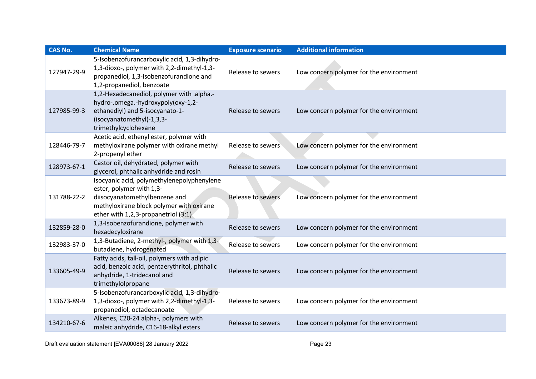| CAS No.     | <b>Chemical Name</b>                                                                                                                                                                       | <b>Exposure scenario</b> | <b>Additional information</b>           |
|-------------|--------------------------------------------------------------------------------------------------------------------------------------------------------------------------------------------|--------------------------|-----------------------------------------|
| 127947-29-9 | 5-Isobenzofurancarboxylic acid, 1,3-dihydro-<br>1,3-dioxo-, polymer with 2,2-dimethyl-1,3-<br>propanediol, 1,3-isobenzofurandione and<br>1,2-propanediol, benzoate                         | Release to sewers        | Low concern polymer for the environment |
| 127985-99-3 | 1,2-Hexadecanediol, polymer with .alpha.-<br>hydro-.omega.-hydroxypoly(oxy-1,2-<br>ethanediyl) and 5-isocyanato-1-<br>(isocyanatomethyl)-1,3,3-<br>trimethylcyclohexane                    | Release to sewers        | Low concern polymer for the environment |
| 128446-79-7 | Acetic acid, ethenyl ester, polymer with<br>methyloxirane polymer with oxirane methyl<br>2-propenyl ether                                                                                  | Release to sewers        | Low concern polymer for the environment |
| 128973-67-1 | Castor oil, dehydrated, polymer with<br>glycerol, phthalic anhydride and rosin                                                                                                             | Release to sewers        | Low concern polymer for the environment |
| 131788-22-2 | Isocyanic acid, polymethylenepolyphenylene<br>ester, polymer with 1,3-<br>diisocyanatomethylbenzene and<br>methyloxirane block polymer with oxirane<br>ether with 1,2,3-propanetriol (3:1) | Release to sewers        | Low concern polymer for the environment |
| 132859-28-0 | 1,3-Isobenzofurandione, polymer with<br>hexadecyloxirane                                                                                                                                   | Release to sewers        | Low concern polymer for the environment |
| 132983-37-0 | 1,3-Butadiene, 2-methyl-, polymer with 1,3-<br>butadiene, hydrogenated                                                                                                                     | Release to sewers        | Low concern polymer for the environment |
| 133605-49-9 | Fatty acids, tall-oil, polymers with adipic<br>acid, benzoic acid, pentaerythritol, phthalic<br>anhydride, 1-tridecanol and<br>trimethylolpropane                                          | Release to sewers        | Low concern polymer for the environment |
| 133673-89-9 | 5-Isobenzofurancarboxylic acid, 1,3-dihydro-<br>1,3-dioxo-, polymer with 2,2-dimethyl-1,3-<br>propanediol, octadecanoate                                                                   | Release to sewers        | Low concern polymer for the environment |
| 134210-67-6 | Alkenes, C20-24 alpha-, polymers with<br>maleic anhydride, C16-18-alkyl esters                                                                                                             | Release to sewers        | Low concern polymer for the environment |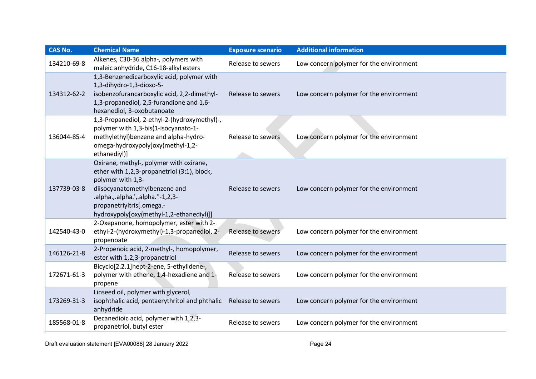| <b>CAS No.</b> | <b>Chemical Name</b>                                                                                                                                                                                                                                       | <b>Exposure scenario</b> | <b>Additional information</b>           |
|----------------|------------------------------------------------------------------------------------------------------------------------------------------------------------------------------------------------------------------------------------------------------------|--------------------------|-----------------------------------------|
| 134210-69-8    | Alkenes, C30-36 alpha-, polymers with<br>maleic anhydride, C16-18-alkyl esters                                                                                                                                                                             | Release to sewers        | Low concern polymer for the environment |
| 134312-62-2    | 1,3-Benzenedicarboxylic acid, polymer with<br>1,3-dihydro-1,3-dioxo-5-<br>isobenzofurancarboxylic acid, 2,2-dimethyl-<br>1,3-propanediol, 2,5-furandione and 1,6-<br>hexanediol, 3-oxobutanoate                                                            | Release to sewers        | Low concern polymer for the environment |
| 136044-85-4    | 1,3-Propanediol, 2-ethyl-2-(hydroxymethyl)-,<br>polymer with 1,3-bis(1-isocyanato-1-<br>methylethyl) benzene and alpha-hydro-<br>omega-hydroxypoly[oxy(methyl-1,2-<br>ethanediyl)]                                                                         | Release to sewers        | Low concern polymer for the environment |
| 137739-03-8    | Oxirane, methyl-, polymer with oxirane,<br>ether with 1,2,3-propanetriol (3:1), block,<br>polymer with 1,3-<br>diisocyanatomethylbenzene and<br>.alpha.,.alpha.',.alpha.''-1,2,3-<br>propanetriyltris[.omega.-<br>hydroxypoly[oxy(methyl-1,2-ethanediyl)]] | Release to sewers        | Low concern polymer for the environment |
| 142540-43-0    | 2-Oxepanone, homopolymer, ester with 2-<br>ethyl-2-(hydroxymethyl)-1,3-propanediol, 2-<br>propenoate                                                                                                                                                       | Release to sewers        | Low concern polymer for the environment |
| 146126-21-8    | 2-Propenoic acid, 2-methyl-, homopolymer,<br>ester with 1,2,3-propanetriol                                                                                                                                                                                 | Release to sewers        | Low concern polymer for the environment |
| 172671-61-3    | Bicyclo[2.2.1]hept-2-ene, 5-ethylidene-,<br>polymer with ethene, 1,4-hexadiene and 1-<br>propene                                                                                                                                                           | Release to sewers        | Low concern polymer for the environment |
| 173269-31-3    | Linseed oil, polymer with glycerol,<br>isophthalic acid, pentaerythritol and phthalic<br>anhydride                                                                                                                                                         | Release to sewers        | Low concern polymer for the environment |
| 185568-01-8    | Decanedioic acid, polymer with 1,2,3-<br>propanetriol, butyl ester                                                                                                                                                                                         | Release to sewers        | Low concern polymer for the environment |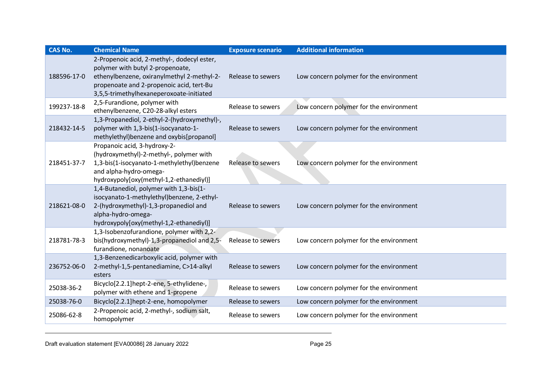| <b>CAS No.</b> | <b>Chemical Name</b>                                                                                                                                                                                                  | <b>Exposure scenario</b> | <b>Additional information</b>           |
|----------------|-----------------------------------------------------------------------------------------------------------------------------------------------------------------------------------------------------------------------|--------------------------|-----------------------------------------|
| 188596-17-0    | 2-Propenoic acid, 2-methyl-, dodecyl ester,<br>polymer with butyl 2-propenoate,<br>ethenylbenzene, oxiranylmethyl 2-methyl-2-<br>propenoate and 2-propenoic acid, tert-Bu<br>3,5,5-trimethylhexaneperoxoate-initiated | Release to sewers        | Low concern polymer for the environment |
| 199237-18-8    | 2,5-Furandione, polymer with<br>ethenylbenzene, C20-28-alkyl esters                                                                                                                                                   | Release to sewers        | Low concern polymer for the environment |
| 218432-14-5    | 1,3-Propanediol, 2-ethyl-2-(hydroxymethyl)-,<br>polymer with 1,3-bis(1-isocyanato-1-<br>methylethyl) benzene and oxybis[propanol]                                                                                     | Release to sewers        | Low concern polymer for the environment |
| 218451-37-7    | Propanoic acid, 3-hydroxy-2-<br>(hydroxymethyl)-2-methyl-, polymer with<br>1,3-bis(1-isocyanato-1-methylethyl)benzene<br>and alpha-hydro-omega-<br>hydroxypoly[oxy(methyl-1,2-ethanediyl)]                            | Release to sewers        | Low concern polymer for the environment |
| 218621-08-0    | 1,4-Butanediol, polymer with 1,3-bis(1-<br>isocyanato-1-methylethyl)benzene, 2-ethyl-<br>2-(hydroxymethyl)-1,3-propanediol and<br>alpha-hydro-omega-<br>hydroxypoly[oxy(methyl-1,2-ethanediyl)]                       | Release to sewers        | Low concern polymer for the environment |
| 218781-78-3    | 1,3-Isobenzofurandione, polymer with 2,2-<br>bis(hydroxymethyl)-1,3-propanediol and 2,5-<br>furandione, nonanoate                                                                                                     | Release to sewers        | Low concern polymer for the environment |
| 236752-06-0    | 1,3-Benzenedicarboxylic acid, polymer with<br>2-methyl-1,5-pentanediamine, C>14-alkyl<br>esters                                                                                                                       | Release to sewers        | Low concern polymer for the environment |
| 25038-36-2     | Bicyclo[2.2.1]hept-2-ene, 5-ethylidene-,<br>polymer with ethene and 1-propene                                                                                                                                         | Release to sewers        | Low concern polymer for the environment |
| 25038-76-0     | Bicyclo[2.2.1]hept-2-ene, homopolymer                                                                                                                                                                                 | Release to sewers        | Low concern polymer for the environment |
| 25086-62-8     | 2-Propenoic acid, 2-methyl-, sodium salt,<br>homopolymer                                                                                                                                                              | Release to sewers        | Low concern polymer for the environment |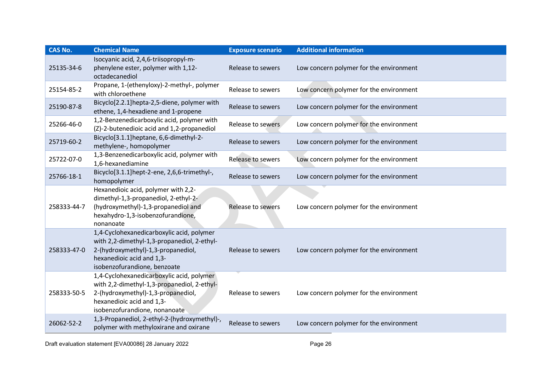| <b>CAS No.</b> | <b>Chemical Name</b>                                                                                                                                                                         | <b>Exposure scenario</b> | <b>Additional information</b>           |
|----------------|----------------------------------------------------------------------------------------------------------------------------------------------------------------------------------------------|--------------------------|-----------------------------------------|
| 25135-34-6     | Isocyanic acid, 2,4,6-triisopropyl-m-<br>phenylene ester, polymer with 1,12-<br>octadecanediol                                                                                               | Release to sewers        | Low concern polymer for the environment |
| 25154-85-2     | Propane, 1-(ethenyloxy)-2-methyl-, polymer<br>with chloroethene                                                                                                                              | Release to sewers        | Low concern polymer for the environment |
| 25190-87-8     | Bicyclo[2.2.1]hepta-2,5-diene, polymer with<br>ethene, 1,4-hexadiene and 1-propene                                                                                                           | Release to sewers        | Low concern polymer for the environment |
| 25266-46-0     | 1,2-Benzenedicarboxylic acid, polymer with<br>(Z)-2-butenedioic acid and 1,2-propanediol                                                                                                     | Release to sewers        | Low concern polymer for the environment |
| 25719-60-2     | Bicyclo[3.1.1]heptane, 6,6-dimethyl-2-<br>methylene-, homopolymer                                                                                                                            | Release to sewers        | Low concern polymer for the environment |
| 25722-07-0     | 1,3-Benzenedicarboxylic acid, polymer with<br>1,6-hexanediamine                                                                                                                              | Release to sewers        | Low concern polymer for the environment |
| 25766-18-1     | Bicyclo[3.1.1]hept-2-ene, 2,6,6-trimethyl-,<br>homopolymer                                                                                                                                   | Release to sewers        | Low concern polymer for the environment |
| 258333-44-7    | Hexanedioic acid, polymer with 2,2-<br>dimethyl-1,3-propanediol, 2-ethyl-2-<br>(hydroxymethyl)-1,3-propanediol and<br>hexahydro-1,3-isobenzofurandione,<br>nonanoate                         | Release to sewers        | Low concern polymer for the environment |
| 258333-47-0    | 1,4-Cyclohexanedicarboxylic acid, polymer<br>with 2,2-dimethyl-1,3-propanediol, 2-ethyl-<br>2-(hydroxymethyl)-1,3-propanediol,<br>hexanedioic acid and 1,3-<br>isobenzofurandione, benzoate  | Release to sewers        | Low concern polymer for the environment |
| 258333-50-5    | 1,4-Cyclohexanedicarboxylic acid, polymer<br>with 2,2-dimethyl-1,3-propanediol, 2-ethyl-<br>2-(hydroxymethyl)-1,3-propanediol,<br>hexanedioic acid and 1,3-<br>isobenzofurandione, nonanoate | Release to sewers        | Low concern polymer for the environment |
| 26062-52-2     | 1,3-Propanediol, 2-ethyl-2-(hydroxymethyl)-,<br>polymer with methyloxirane and oxirane                                                                                                       | Release to sewers        | Low concern polymer for the environment |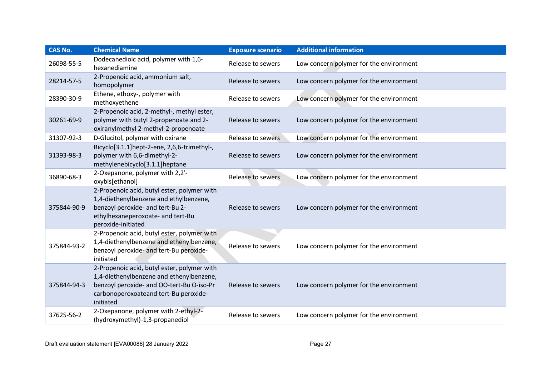| <b>CAS No.</b> | <b>Chemical Name</b>                                                                                                                                                                       | <b>Exposure scenario</b> | <b>Additional information</b>           |
|----------------|--------------------------------------------------------------------------------------------------------------------------------------------------------------------------------------------|--------------------------|-----------------------------------------|
| 26098-55-5     | Dodecanedioic acid, polymer with 1,6-<br>hexanediamine                                                                                                                                     | Release to sewers        | Low concern polymer for the environment |
| 28214-57-5     | 2-Propenoic acid, ammonium salt,<br>homopolymer                                                                                                                                            | Release to sewers        | Low concern polymer for the environment |
| 28390-30-9     | Ethene, ethoxy-, polymer with<br>methoxyethene                                                                                                                                             | Release to sewers        | Low concern polymer for the environment |
| 30261-69-9     | 2-Propenoic acid, 2-methyl-, methyl ester,<br>polymer with butyl 2-propenoate and 2-<br>oxiranylmethyl 2-methyl-2-propenoate                                                               | Release to sewers        | Low concern polymer for the environment |
| 31307-92-3     | D-Glucitol, polymer with oxirane                                                                                                                                                           | Release to sewers        | Low concern polymer for the environment |
| 31393-98-3     | Bicyclo[3.1.1]hept-2-ene, 2,6,6-trimethyl-,<br>polymer with 6,6-dimethyl-2-<br>methylenebicyclo[3.1.1]heptane                                                                              | Release to sewers        | Low concern polymer for the environment |
| 36890-68-3     | 2-Oxepanone, polymer with 2,2'-<br>oxybis[ethanol]                                                                                                                                         | Release to sewers        | Low concern polymer for the environment |
| 375844-90-9    | 2-Propenoic acid, butyl ester, polymer with<br>1,4-diethenylbenzene and ethylbenzene,<br>benzoyl peroxide- and tert-Bu 2-<br>ethylhexaneperoxoate- and tert-Bu<br>peroxide-initiated       | Release to sewers        | Low concern polymer for the environment |
| 375844-93-2    | 2-Propenoic acid, butyl ester, polymer with<br>1,4-diethenylbenzene and ethenylbenzene,<br>benzoyl peroxide- and tert-Bu peroxide-<br>initiated                                            | Release to sewers        | Low concern polymer for the environment |
| 375844-94-3    | 2-Propenoic acid, butyl ester, polymer with<br>1,4-diethenylbenzene and ethenylbenzene,<br>benzoyl peroxide- and OO-tert-Bu O-iso-Pr<br>carbonoperoxoateand tert-Bu peroxide-<br>initiated | Release to sewers        | Low concern polymer for the environment |
| 37625-56-2     | 2-Oxepanone, polymer with 2-ethyl-2-<br>(hydroxymethyl)-1,3-propanediol                                                                                                                    | Release to sewers        | Low concern polymer for the environment |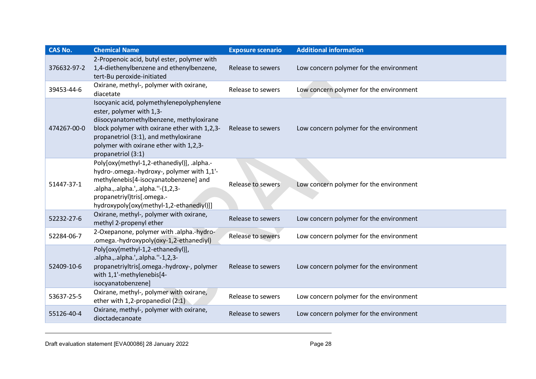| <b>CAS No.</b> | <b>Chemical Name</b>                                                                                                                                                                                                                                                        | <b>Exposure scenario</b> | <b>Additional information</b>           |
|----------------|-----------------------------------------------------------------------------------------------------------------------------------------------------------------------------------------------------------------------------------------------------------------------------|--------------------------|-----------------------------------------|
| 376632-97-2    | 2-Propenoic acid, butyl ester, polymer with<br>1,4-diethenylbenzene and ethenylbenzene,<br>tert-Bu peroxide-initiated                                                                                                                                                       | Release to sewers        | Low concern polymer for the environment |
| 39453-44-6     | Oxirane, methyl-, polymer with oxirane,<br>diacetate                                                                                                                                                                                                                        | Release to sewers        | Low concern polymer for the environment |
| 474267-00-0    | Isocyanic acid, polymethylenepolyphenylene<br>ester, polymer with 1,3-<br>diisocyanatomethylbenzene, methyloxirane<br>block polymer with oxirane ether with 1,2,3-<br>propanetriol (3:1), and methyloxirane<br>polymer with oxirane ether with 1,2,3-<br>propanetriol (3:1) | Release to sewers        | Low concern polymer for the environment |
| 51447-37-1     | Poly[oxy(methyl-1,2-ethanediyl)], .alpha.-<br>hydro-.omega.-hydroxy-, polymer with 1,1'-<br>methylenebis[4-isocyanatobenzene] and<br>.alpha.,.alpha.',.alpha."-(1,2,3-<br>propanetriyl)tris[.omega.-<br>hydroxypoly[oxy(methyl-1,2-ethanediyl)]]                            | <b>Release to sewers</b> | Low concern polymer for the environment |
| 52232-27-6     | Oxirane, methyl-, polymer with oxirane,<br>methyl 2-propenyl ether                                                                                                                                                                                                          | Release to sewers        | Low concern polymer for the environment |
| 52284-06-7     | 2-Oxepanone, polymer with .alpha.-hydro-<br>.omega.-hydroxypoly(oxy-1,2-ethanediyl)                                                                                                                                                                                         | Release to sewers        | Low concern polymer for the environment |
| 52409-10-6     | Poly[oxy(methyl-1,2-ethanediyl)],<br>.alpha.,.alpha.',.alpha."-1,2,3-<br>propanetriyltris[.omega.-hydroxy-, polymer<br>with 1,1'-methylenebis[4-<br>isocyanatobenzene]                                                                                                      | Release to sewers        | Low concern polymer for the environment |
| 53637-25-5     | Oxirane, methyl-, polymer with oxirane,<br>ether with 1,2-propanediol $(2:1)$                                                                                                                                                                                               | Release to sewers        | Low concern polymer for the environment |
| 55126-40-4     | Oxirane, methyl-, polymer with oxirane,<br>dioctadecanoate                                                                                                                                                                                                                  | Release to sewers        | Low concern polymer for the environment |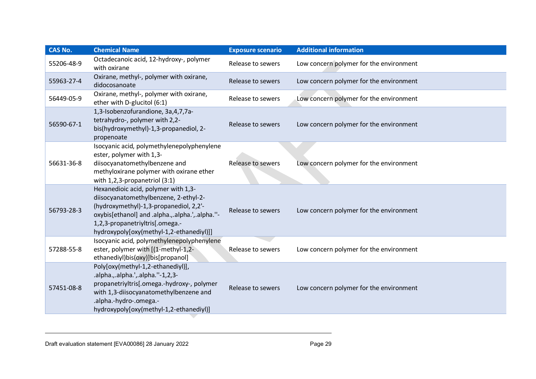| CAS No.    | <b>Chemical Name</b>                                                                                                                                                                                                                                      | <b>Exposure scenario</b> | <b>Additional information</b>           |
|------------|-----------------------------------------------------------------------------------------------------------------------------------------------------------------------------------------------------------------------------------------------------------|--------------------------|-----------------------------------------|
| 55206-48-9 | Octadecanoic acid, 12-hydroxy-, polymer<br>with oxirane                                                                                                                                                                                                   | Release to sewers        | Low concern polymer for the environment |
| 55963-27-4 | Oxirane, methyl-, polymer with oxirane,<br>didocosanoate                                                                                                                                                                                                  | Release to sewers        | Low concern polymer for the environment |
| 56449-05-9 | Oxirane, methyl-, polymer with oxirane,<br>ether with D-glucitol (6:1)                                                                                                                                                                                    | Release to sewers        | Low concern polymer for the environment |
| 56590-67-1 | 1,3-Isobenzofurandione, 3a, 4, 7, 7a-<br>tetrahydro-, polymer with 2,2-<br>bis(hydroxymethyl)-1,3-propanediol, 2-<br>propenoate                                                                                                                           | Release to sewers        | Low concern polymer for the environment |
| 56631-36-8 | Isocyanic acid, polymethylenepolyphenylene<br>ester, polymer with 1,3-<br>diisocyanatomethylbenzene and<br>methyloxirane polymer with oxirane ether<br>with $1,2,3$ -propanetriol $(3:1)$                                                                 | Release to sewers        | Low concern polymer for the environment |
| 56793-28-3 | Hexanedioic acid, polymer with 1,3-<br>diisocyanatomethylbenzene, 2-ethyl-2-<br>(hydroxymethyl)-1,3-propanediol, 2,2'-<br>oxybis[ethanol] and .alpha., .alpha.', .alpha."-<br>1,2,3-propanetriyltris[.omega.-<br>hydroxypoly[oxy(methyl-1,2-ethanediyl)]] | Release to sewers        | Low concern polymer for the environment |
| 57288-55-8 | Isocyanic acid, polymethylenepolyphenylene<br>ester, polymer with [(1-methyl-1,2-<br>ethanediyl)bis(oxy)]bis[propanol]                                                                                                                                    | Release to sewers        | Low concern polymer for the environment |
| 57451-08-8 | Poly[oxy(methyl-1,2-ethanediyl)],<br>.alpha.,.alpha.',.alpha."-1,2,3-<br>propanetriyltris[.omega.-hydroxy-, polymer<br>with 1,3-diisocyanatomethylbenzene and<br>.alpha.-hydro-.omega.-<br>hydroxypoly[oxy(methyl-1,2-ethanediyl)]                        | Release to sewers        | Low concern polymer for the environment |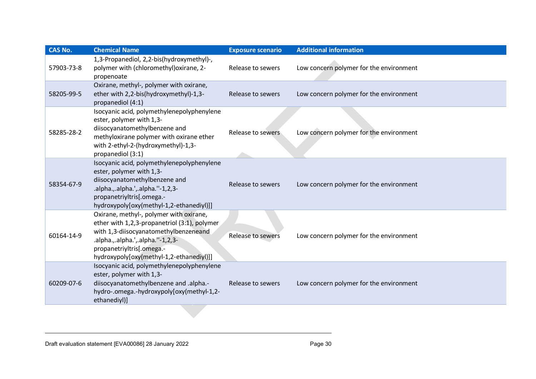| <b>CAS No.</b> | <b>Chemical Name</b>                                                                                                                                                                                                                          | <b>Exposure scenario</b> | <b>Additional information</b>           |
|----------------|-----------------------------------------------------------------------------------------------------------------------------------------------------------------------------------------------------------------------------------------------|--------------------------|-----------------------------------------|
| 57903-73-8     | 1,3-Propanediol, 2,2-bis(hydroxymethyl)-,<br>polymer with (chloromethyl) oxirane, 2-<br>propenoate                                                                                                                                            | Release to sewers        | Low concern polymer for the environment |
| 58205-99-5     | Oxirane, methyl-, polymer with oxirane,<br>ether with 2,2-bis(hydroxymethyl)-1,3-<br>propanediol (4:1)                                                                                                                                        | Release to sewers        | Low concern polymer for the environment |
| 58285-28-2     | Isocyanic acid, polymethylenepolyphenylene<br>ester, polymer with 1,3-<br>diisocyanatomethylbenzene and<br>methyloxirane polymer with oxirane ether<br>with 2-ethyl-2-(hydroxymethyl)-1,3-<br>propanediol (3:1)                               | Release to sewers        | Low concern polymer for the environment |
| 58354-67-9     | Isocyanic acid, polymethylenepolyphenylene<br>ester, polymer with 1,3-<br>diisocyanatomethylbenzene and<br>.alpha.,.alpha.',.alpha."-1,2,3-<br>propanetriyltris[.omega.-<br>hydroxypoly[oxy(methyl-1,2-ethanediyl)]]                          | Release to sewers        | Low concern polymer for the environment |
| 60164-14-9     | Oxirane, methyl-, polymer with oxirane,<br>ether with 1,2,3-propanetriol (3:1), polymer<br>with 1,3-diisocyanatomethylbenzeneand<br>.alpha.,.alpha.',.alpha."-1,2,3-<br>propanetriyltris[.omega.-<br>hydroxypoly[oxy(methyl-1,2-ethanediyl)]] | Release to sewers        | Low concern polymer for the environment |
| 60209-07-6     | Isocyanic acid, polymethylenepolyphenylene<br>ester, polymer with 1,3-<br>diisocyanatomethylbenzene and .alpha.-<br>hydro-.omega.-hydroxypoly[oxy(methyl-1,2-<br>ethanediyl)]                                                                 | Release to sewers        | Low concern polymer for the environment |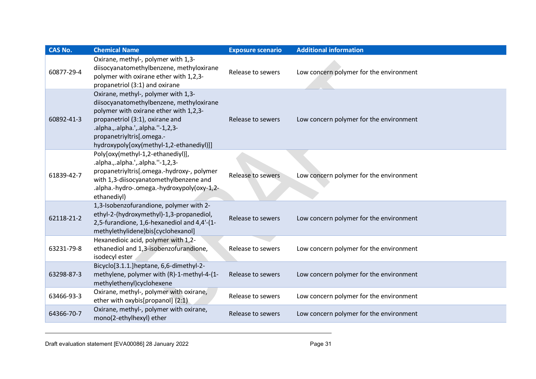| <b>CAS No.</b> | <b>Chemical Name</b>                                                                                                                                                                                                                                                       | <b>Exposure scenario</b> | <b>Additional information</b>           |
|----------------|----------------------------------------------------------------------------------------------------------------------------------------------------------------------------------------------------------------------------------------------------------------------------|--------------------------|-----------------------------------------|
| 60877-29-4     | Oxirane, methyl-, polymer with 1,3-<br>diisocyanatomethylbenzene, methyloxirane<br>polymer with oxirane ether with 1,2,3-<br>propanetriol (3:1) and oxirane                                                                                                                | Release to sewers        | Low concern polymer for the environment |
| 60892-41-3     | Oxirane, methyl-, polymer with 1,3-<br>diisocyanatomethylbenzene, methyloxirane<br>polymer with oxirane ether with 1,2,3-<br>propanetriol (3:1), oxirane and<br>.alpha.,.alpha.',.alpha.''-1,2,3-<br>propanetriyltris[.omega.-<br>hydroxypoly[oxy(methyl-1,2-ethanediyl)]] | Release to sewers        | Low concern polymer for the environment |
| 61839-42-7     | Poly[oxy(methyl-1,2-ethanediyl)],<br>.alpha.,.alpha.',.alpha.''-1,2,3-<br>propanetriyltris[.omega.-hydroxy-, polymer<br>with 1,3-diisocyanatomethylbenzene and<br>.alpha.-hydro-.omega.-hydroxypoly(oxy-1,2-<br>ethanediyl)                                                | Release to sewers        | Low concern polymer for the environment |
| 62118-21-2     | 1,3-Isobenzofurandione, polymer with 2-<br>ethyl-2-(hydroxymethyl)-1,3-propanediol,<br>2,5-furandione, 1,6-hexanediol and 4,4'-(1-<br>methylethylidene)bis[cyclohexanol]                                                                                                   | Release to sewers        | Low concern polymer for the environment |
| 63231-79-8     | Hexanedioic acid, polymer with 1,2-<br>ethanediol and 1,3-isobenzofurandione,<br>isodecyl ester                                                                                                                                                                            | Release to sewers        | Low concern polymer for the environment |
| 63298-87-3     | Bicyclo[3.1.1.]heptane, 6,6-dimethyl-2-<br>methylene, polymer with (R)-1-methyl-4-(1-<br>methylethenyl)cyclohexene                                                                                                                                                         | Release to sewers        | Low concern polymer for the environment |
| 63466-93-3     | Oxirane, methyl-, polymer with oxirane,<br>ether with oxybis[propanol] (2:1)                                                                                                                                                                                               | Release to sewers        | Low concern polymer for the environment |
| 64366-70-7     | Oxirane, methyl-, polymer with oxirane,<br>mono(2-ethylhexyl) ether                                                                                                                                                                                                        | Release to sewers        | Low concern polymer for the environment |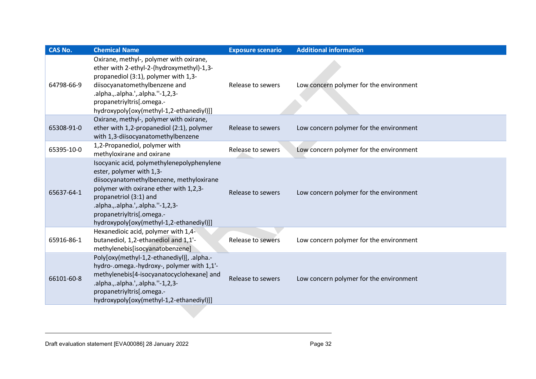| <b>CAS No.</b> | <b>Chemical Name</b>                                                                                                                                                                                                                                                                                 | <b>Exposure scenario</b> | <b>Additional information</b>           |
|----------------|------------------------------------------------------------------------------------------------------------------------------------------------------------------------------------------------------------------------------------------------------------------------------------------------------|--------------------------|-----------------------------------------|
| 64798-66-9     | Oxirane, methyl-, polymer with oxirane,<br>ether with 2-ethyl-2-(hydroxymethyl)-1,3-<br>propanediol (3:1), polymer with 1,3-<br>diisocyanatomethylbenzene and<br>.alpha.,.alpha.',.alpha.''-1,2,3-<br>propanetriyltris[.omega.-<br>hydroxypoly[oxy(methyl-1,2-ethanediyl)]]                          | Release to sewers        | Low concern polymer for the environment |
| 65308-91-0     | Oxirane, methyl-, polymer with oxirane,<br>ether with 1,2-propanediol (2:1), polymer<br>with 1,3-diisocyanatomethylbenzene                                                                                                                                                                           | Release to sewers        | Low concern polymer for the environment |
| 65395-10-0     | 1,2-Propanediol, polymer with<br>methyloxirane and oxirane                                                                                                                                                                                                                                           | Release to sewers        | Low concern polymer for the environment |
| 65637-64-1     | Isocyanic acid, polymethylenepolyphenylene<br>ester, polymer with 1,3-<br>diisocyanatomethylbenzene, methyloxirane<br>polymer with oxirane ether with 1,2,3-<br>propanetriol (3:1) and<br>.alpha.,.alpha.',.alpha.''-1,2,3-<br>propanetriyltris[.omega.-<br>hydroxypoly[oxy(methyl-1,2-ethanediyl)]] | Release to sewers        | Low concern polymer for the environment |
| 65916-86-1     | Hexanedioic acid, polymer with 1,4-<br>butanediol, 1,2-ethanediol and 1,1'-<br>methylenebis[isocyanatobenzene]                                                                                                                                                                                       | Release to sewers        | Low concern polymer for the environment |
| 66101-60-8     | Poly[oxy(methyl-1,2-ethanediyl)], .alpha.-<br>hydro-.omega.-hydroxy-, polymer with 1,1'-<br>methylenebis[4-isocyanatocyclohexane] and<br>.alpha.,.alpha.',.alpha."-1,2,3-<br>propanetriyltris[.omega.-<br>hydroxypoly[oxy(methyl-1,2-ethanediyl)]]                                                   | Release to sewers        | Low concern polymer for the environment |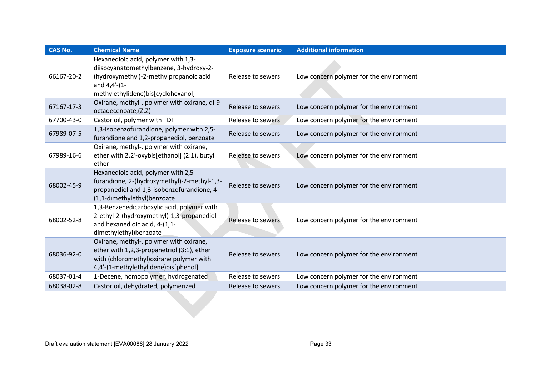| <b>CAS No.</b> | <b>Chemical Name</b>                                                                                                                                                           | <b>Exposure scenario</b> | <b>Additional information</b>           |
|----------------|--------------------------------------------------------------------------------------------------------------------------------------------------------------------------------|--------------------------|-----------------------------------------|
| 66167-20-2     | Hexanedioic acid, polymer with 1,3-<br>diisocyanatomethylbenzene, 3-hydroxy-2-<br>(hydroxymethyl)-2-methylpropanoic acid<br>and 4,4'-(1-<br>methylethylidene)bis[cyclohexanol] | Release to sewers        | Low concern polymer for the environment |
| 67167-17-3     | Oxirane, methyl-, polymer with oxirane, di-9-<br>octadecenoate,(Z,Z)-                                                                                                          | Release to sewers        | Low concern polymer for the environment |
| 67700-43-0     | Castor oil, polymer with TDI                                                                                                                                                   | Release to sewers        | Low concern polymer for the environment |
| 67989-07-5     | 1,3-Isobenzofurandione, polymer with 2,5-<br>furandione and 1,2-propanediol, benzoate                                                                                          | Release to sewers        | Low concern polymer for the environment |
| 67989-16-6     | Oxirane, methyl-, polymer with oxirane,<br>ether with 2,2'-oxybis[ethanol] (2:1), butyl<br>ether                                                                               | Release to sewers        | Low concern polymer for the environment |
| 68002-45-9     | Hexanedioic acid, polymer with 2,5-<br>furandione, 2-(hydroxymethyl)-2-methyl-1,3-<br>propanediol and 1,3-isobenzofurandione, 4-<br>(1,1-dimethylethyl)benzoate                | Release to sewers        | Low concern polymer for the environment |
| 68002-52-8     | 1,3-Benzenedicarboxylic acid, polymer with<br>2-ethyl-2-(hydroxymethyl)-1,3-propanediol<br>and hexanedioic acid, 4-(1,1-<br>dimethylethyl)benzoate                             | Release to sewers        | Low concern polymer for the environment |
| 68036-92-0     | Oxirane, methyl-, polymer with oxirane,<br>ether with 1,2,3-propanetriol (3:1), ether<br>with (chloromethyl) oxirane polymer with<br>4,4'-(1-methylethylidene)bis[phenol]      | Release to sewers        | Low concern polymer for the environment |
| 68037-01-4     | 1-Decene, homopolymer, hydrogenated                                                                                                                                            | Release to sewers        | Low concern polymer for the environment |
| 68038-02-8     | Castor oil, dehydrated, polymerized                                                                                                                                            | Release to sewers        | Low concern polymer for the environment |
|                |                                                                                                                                                                                |                          |                                         |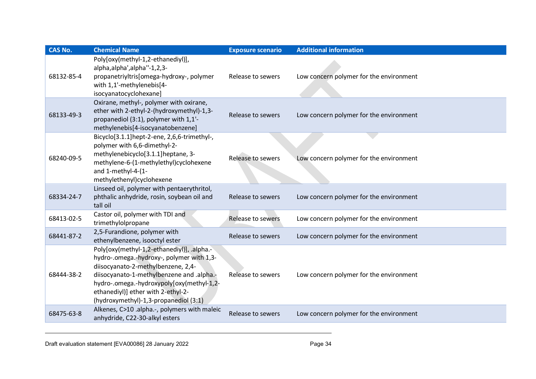| <b>CAS No.</b> | <b>Chemical Name</b>                                                                                                                                                                                                                                                                                   | <b>Exposure scenario</b> | <b>Additional information</b>           |
|----------------|--------------------------------------------------------------------------------------------------------------------------------------------------------------------------------------------------------------------------------------------------------------------------------------------------------|--------------------------|-----------------------------------------|
| 68132-85-4     | Poly[oxy(methyl-1,2-ethanediyl)],<br>alpha, alpha', alpha''-1, 2, 3-<br>propanetriyltris[omega-hydroxy-, polymer<br>with 1,1'-methylenebis[4-<br>isocyanatocyclohexane]                                                                                                                                | Release to sewers        | Low concern polymer for the environment |
| 68133-49-3     | Oxirane, methyl-, polymer with oxirane,<br>ether with 2-ethyl-2-(hydroxymethyl)-1,3-<br>propanediol (3:1), polymer with 1,1'-<br>methylenebis[4-isocyanatobenzene]                                                                                                                                     | Release to sewers        | Low concern polymer for the environment |
| 68240-09-5     | Bicyclo[3.1.1]hept-2-ene, 2,6,6-trimethyl-,<br>polymer with 6,6-dimethyl-2-<br>methylenebicyclo[3.1.1]heptane, 3-<br>methylene-6-(1-methylethyl)cyclohexene<br>and 1-methyl-4-(1-<br>methylethenyl)cyclohexene                                                                                         | Release to sewers        | Low concern polymer for the environment |
| 68334-24-7     | Linseed oil, polymer with pentaerythritol,<br>phthalic anhydride, rosin, soybean oil and<br>tall oil                                                                                                                                                                                                   | Release to sewers        | Low concern polymer for the environment |
| 68413-02-5     | Castor oil, polymer with TDI and<br>trimethylolpropane                                                                                                                                                                                                                                                 | <b>Release to sewers</b> | Low concern polymer for the environment |
| 68441-87-2     | 2,5-Furandione, polymer with<br>ethenylbenzene, isooctyl ester                                                                                                                                                                                                                                         | Release to sewers        | Low concern polymer for the environment |
| 68444-38-2     | Poly[oxy(methyl-1,2-ethanediyl)], .alpha.-<br>hydro-.omega.-hydroxy-, polymer with 1,3-<br>diisocyanato-2-methylbenzene, 2,4-<br>diisocyanato-1-methylbenzene and .alpha.-<br>hydro-.omega.-hydroxypoly[oxy(methyl-1,2-<br>ethanediyl)] ether with 2-ethyl-2-<br>(hydroxymethyl)-1,3-propanediol (3:1) | Release to sewers        | Low concern polymer for the environment |
| 68475-63-8     | Alkenes, C>10 .alpha.-, polymers with maleic<br>anhydride, C22-30-alkyl esters                                                                                                                                                                                                                         | Release to sewers        | Low concern polymer for the environment |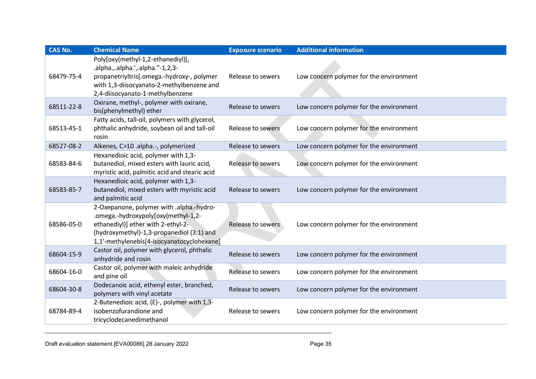| <b>CAS No.</b> | <b>Chemical Name</b>                                                                                                                                                                                             | <b>Exposure scenario</b> | <b>Additional information</b>           |
|----------------|------------------------------------------------------------------------------------------------------------------------------------------------------------------------------------------------------------------|--------------------------|-----------------------------------------|
| 68479-75-4     | Poly[oxy(methyl-1,2-ethanediyl)],<br>.alpha.,.alpha.',.alpha.''-1,2,3-<br>propanetriyltris[.omega.-hydroxy-, polymer<br>with 1,3-diisocyanato-2-methylbenzene and<br>2,4-diisocyanato-1-methylbenzene            | Release to sewers        | Low concern polymer for the environment |
| 68511-22-8     | Oxirane, methyl-, polymer with oxirane,<br>bis(phenylmethyl) ether                                                                                                                                               | Release to sewers        | Low concern polymer for the environment |
| 68513-45-1     | Fatty acids, tall-oil, polymers with glycerol,<br>phthalic anhydride, soybean oil and tall-oil<br>rosin                                                                                                          | Release to sewers        | Low concern polymer for the environment |
| 68527-08-2     | Alkenes, C>10 .alpha.-, polymerized                                                                                                                                                                              | Release to sewers        | Low concern polymer for the environment |
| 68583-84-6     | Hexanedioic acid, polymer with 1,3-<br>butanediol, mixed esters with lauric acid,<br>myristic acid, palmitic acid and stearic acid                                                                               | Release to sewers        | Low concern polymer for the environment |
| 68583-85-7     | Hexanedioic acid, polymer with 1,3-<br>butanediol, mixed esters with myristic acid<br>and palmitic acid                                                                                                          | Release to sewers        | Low concern polymer for the environment |
| 68586-05-0     | 2-Oxepanone, polymer with .alpha.-hydro-<br>.omega.-hydroxypoly[oxy(methyl-1,2-<br>ethanediyl)] ether with 2-ethyl-2-<br>(hydroxymethyl)-1,3-propanediol (3:1) and<br>1,1'-methylenebis[4-isocyanatocyclohexane] | Release to sewers        | Low concern polymer for the environment |
| 68604-15-9     | Castor oil, polymer with glycerol, phthalic<br>anhydride and rosin                                                                                                                                               | Release to sewers        | Low concern polymer for the environment |
| 68604-16-0     | Castor oil, polymer with maleic anhydride<br>and pine oil                                                                                                                                                        | Release to sewers        | Low concern polymer for the environment |
| 68604-30-8     | Dodecanoic acid, ethenyl ester, branched,<br>polymers with vinyl acetate                                                                                                                                         | Release to sewers        | Low concern polymer for the environment |
| 68784-89-4     | 2-Butenedioic acid, (E)-, polymer with 1,3-<br>isobenzofurandione and<br>tricyclodecanedimethanol                                                                                                                | Release to sewers        | Low concern polymer for the environment |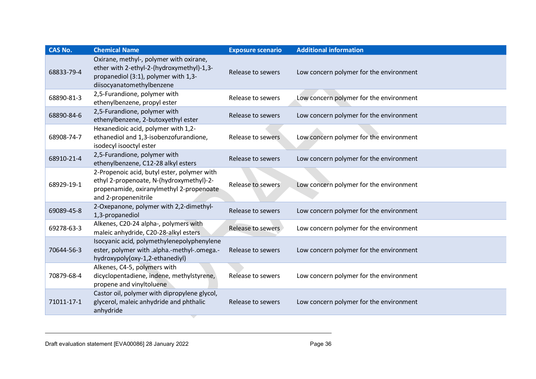| <b>CAS No.</b> | <b>Chemical Name</b>                                                                                                                                        | <b>Exposure scenario</b> | <b>Additional information</b>           |
|----------------|-------------------------------------------------------------------------------------------------------------------------------------------------------------|--------------------------|-----------------------------------------|
| 68833-79-4     | Oxirane, methyl-, polymer with oxirane,<br>ether with 2-ethyl-2-(hydroxymethyl)-1,3-<br>propanediol (3:1), polymer with 1,3-<br>diisocyanatomethylbenzene   | Release to sewers        | Low concern polymer for the environment |
| 68890-81-3     | 2,5-Furandione, polymer with<br>ethenylbenzene, propyl ester                                                                                                | Release to sewers        | Low concern polymer for the environment |
| 68890-84-6     | 2,5-Furandione, polymer with<br>ethenylbenzene, 2-butoxyethyl ester                                                                                         | Release to sewers        | Low concern polymer for the environment |
| 68908-74-7     | Hexanedioic acid, polymer with 1,2-<br>ethanediol and 1,3-isobenzofurandione,<br>isodecyl isooctyl ester                                                    | Release to sewers        | Low concern polymer for the environment |
| 68910-21-4     | 2,5-Furandione, polymer with<br>ethenylbenzene, C12-28 alkyl esters                                                                                         | Release to sewers        | Low concern polymer for the environment |
| 68929-19-1     | 2-Propenoic acid, butyl ester, polymer with<br>ethyl 2-propenoate, N-(hydroxymethyl)-2-<br>propenamide, oxiranylmethyl 2-propenoate<br>and 2-propenenitrile | Release to sewers        | Low concern polymer for the environment |
| 69089-45-8     | 2-Oxepanone, polymer with 2,2-dimethyl-<br>1,3-propanediol                                                                                                  | Release to sewers        | Low concern polymer for the environment |
| 69278-63-3     | Alkenes, C20-24 alpha-, polymers with<br>maleic anhydride, C20-28-alkyl esters                                                                              | Release to sewers        | Low concern polymer for the environment |
| 70644-56-3     | Isocyanic acid, polymethylenepolyphenylene<br>ester, polymer with .alpha.-methyl-.omega.-<br>hydroxypoly(oxy-1,2-ethanediyl)                                | Release to sewers        | Low concern polymer for the environment |
| 70879-68-4     | Alkenes, C4-5, polymers with<br>dicyclopentadiene, indene, methylstyrene,<br>propene and vinyltoluene                                                       | Release to sewers        | Low concern polymer for the environment |
| 71011-17-1     | Castor oil, polymer with dipropylene glycol,<br>glycerol, maleic anhydride and phthalic<br>anhydride                                                        | Release to sewers        | Low concern polymer for the environment |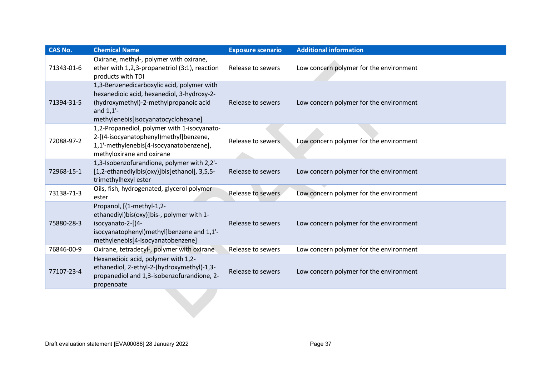| <b>CAS No.</b> | <b>Chemical Name</b>                                                                                                                                                                      | <b>Exposure scenario</b> | <b>Additional information</b>           |
|----------------|-------------------------------------------------------------------------------------------------------------------------------------------------------------------------------------------|--------------------------|-----------------------------------------|
| 71343-01-6     | Oxirane, methyl-, polymer with oxirane,<br>ether with 1,2,3-propanetriol (3:1), reaction<br>products with TDI                                                                             | Release to sewers        | Low concern polymer for the environment |
| 71394-31-5     | 1,3-Benzenedicarboxylic acid, polymer with<br>hexanedioic acid, hexanediol, 3-hydroxy-2-<br>(hydroxymethyl)-2-methylpropanoic acid<br>and $1,1'$ -<br>methylenebis[isocyanatocyclohexane] | Release to sewers        | Low concern polymer for the environment |
| 72088-97-2     | 1,2-Propanediol, polymer with 1-isocyanato-<br>2-[(4-isocyanatophenyl)methyl]benzene,<br>1,1'-methylenebis[4-isocyanatobenzene],<br>methyloxirane and oxirane                             | Release to sewers        | Low concern polymer for the environment |
| 72968-15-1     | 1,3-Isobenzofurandione, polymer with 2,2'-<br>[1,2-ethanediylbis(oxy)]bis[ethanol], 3,5,5-<br>trimethylhexyl ester                                                                        | Release to sewers        | Low concern polymer for the environment |
| 73138-71-3     | Oils, fish, hydrogenated, glycerol polymer<br>ester                                                                                                                                       | Release to sewers        | Low concern polymer for the environment |
| 75880-28-3     | Propanol, [(1-methyl-1,2-<br>ethanediyl)bis(oxy)]bis-, polymer with 1-<br>isocyanato-2-[(4-<br>isocyanatophenyl)methyl]benzene and 1,1'-<br>methylenebis[4-isocyanatobenzene]             | Release to sewers        | Low concern polymer for the environment |
| 76846-00-9     | Oxirane, tetradecyl-, polymer with oxirane                                                                                                                                                | Release to sewers        | Low concern polymer for the environment |
| 77107-23-4     | Hexanedioic acid, polymer with 1,2-<br>ethanediol, 2-ethyl-2-(hydroxymethyl)-1,3-<br>propanediol and 1,3-isobenzofurandione, 2-<br>propenoate                                             | Release to sewers        | Low concern polymer for the environment |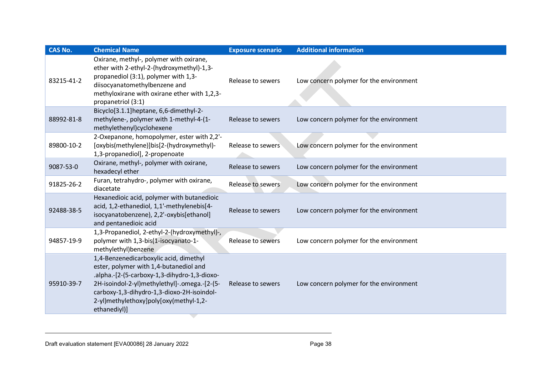| <b>CAS No.</b> | <b>Chemical Name</b>                                                                                                                                                                                                                                                                     | <b>Exposure scenario</b> | <b>Additional information</b>           |
|----------------|------------------------------------------------------------------------------------------------------------------------------------------------------------------------------------------------------------------------------------------------------------------------------------------|--------------------------|-----------------------------------------|
| 83215-41-2     | Oxirane, methyl-, polymer with oxirane,<br>ether with 2-ethyl-2-(hydroxymethyl)-1,3-<br>propanediol (3:1), polymer with 1,3-<br>diisocyanatomethylbenzene and<br>methyloxirane with oxirane ether with 1,2,3-<br>propanetriol (3:1)                                                      | Release to sewers        | Low concern polymer for the environment |
| 88992-81-8     | Bicyclo[3.1.1]heptane, 6,6-dimethyl-2-<br>methylene-, polymer with 1-methyl-4-(1-<br>methylethenyl)cyclohexene                                                                                                                                                                           | Release to sewers        | Low concern polymer for the environment |
| 89800-10-2     | 2-Oxepanone, homopolymer, ester with 2,2'-<br>[oxybis(methylene)]bis[2-(hydroxymethyl)-<br>1,3-propanediol], 2-propenoate                                                                                                                                                                | Release to sewers        | Low concern polymer for the environment |
| 9087-53-0      | Oxirane, methyl-, polymer with oxirane,<br>hexadecyl ether                                                                                                                                                                                                                               | Release to sewers        | Low concern polymer for the environment |
| 91825-26-2     | Furan, tetrahydro-, polymer with oxirane,<br>diacetate                                                                                                                                                                                                                                   | Release to sewers        | Low concern polymer for the environment |
| 92488-38-5     | Hexanedioic acid, polymer with butanedioic<br>acid, 1,2-ethanediol, 1,1'-methylenebis[4-<br>isocyanatobenzene), 2,2'-oxybis[ethanol]<br>and pentanedioic acid                                                                                                                            | Release to sewers        | Low concern polymer for the environment |
| 94857-19-9     | 1,3-Propanediol, 2-ethyl-2-(hydroxymethyl)-,<br>polymer with 1,3-bis(1-isocyanato-1-<br>methylethyl)benzene                                                                                                                                                                              | <b>Release to sewers</b> | Low concern polymer for the environment |
| 95910-39-7     | 1,4-Benzenedicarboxylic acid, dimethyl<br>ester, polymer with 1,4-butanediol and<br>.alpha.-[2-(5-carboxy-1,3-dihydro-1,3-dioxo-<br>2H-isoindol-2-yl)methylethyl]-.omega.-[2-(5-<br>carboxy-1,3-dihydro-1,3-dioxo-2H-isoindol-<br>2-yl)methylethoxy]poly[oxy(methyl-1,2-<br>ethanediyl)] | Release to sewers        | Low concern polymer for the environment |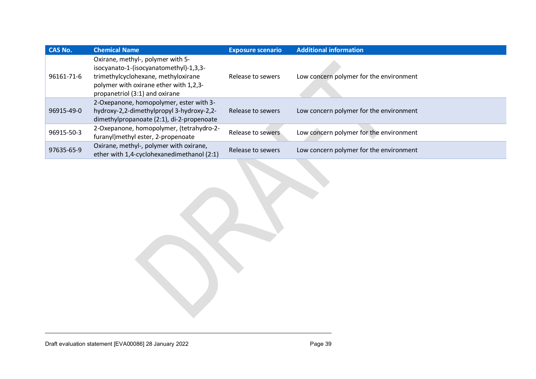| <b>CAS No.</b> | <b>Chemical Name</b>                                                                                                                                                                           | <b>Exposure scenario</b> | <b>Additional information</b>           |
|----------------|------------------------------------------------------------------------------------------------------------------------------------------------------------------------------------------------|--------------------------|-----------------------------------------|
| 96161-71-6     | Oxirane, methyl-, polymer with 5-<br>isocyanato-1-(isocyanatomethyl)-1,3,3-<br>trimethylcyclohexane, methyloxirane<br>polymer with oxirane ether with 1,2,3-<br>propanetriol (3:1) and oxirane | Release to sewers        | Low concern polymer for the environment |
| 96915-49-0     | 2-Oxepanone, homopolymer, ester with 3-<br>hydroxy-2,2-dimethylpropyl 3-hydroxy-2,2-<br>dimethylpropanoate (2:1), di-2-propenoate                                                              | Release to sewers        | Low concern polymer for the environment |
| 96915-50-3     | 2-Oxepanone, homopolymer, (tetrahydro-2-<br>furanyl)methyl ester, 2-propenoate                                                                                                                 | Release to sewers        | Low concern polymer for the environment |
| 97635-65-9     | Oxirane, methyl-, polymer with oxirane,<br>ether with 1,4-cyclohexanedimethanol (2:1)                                                                                                          | Release to sewers        | Low concern polymer for the environment |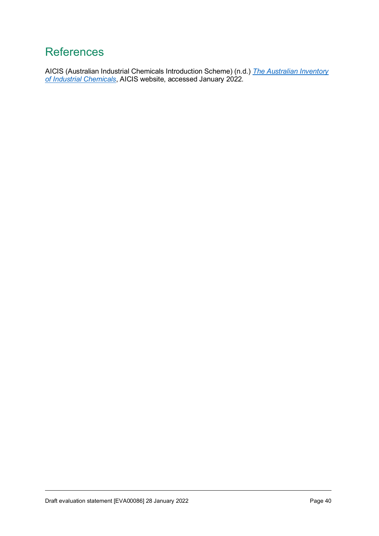#### <span id="page-39-0"></span>**References**

AICIS (Australian Industrial Chemicals Introduction Scheme) (n.d.) *[The Australian Inventory](https://www.industrialchemicals.gov.au/search-inventory)  [of Industrial Chemicals](https://www.industrialchemicals.gov.au/search-inventory)*, AICIS website, accessed January 2022.